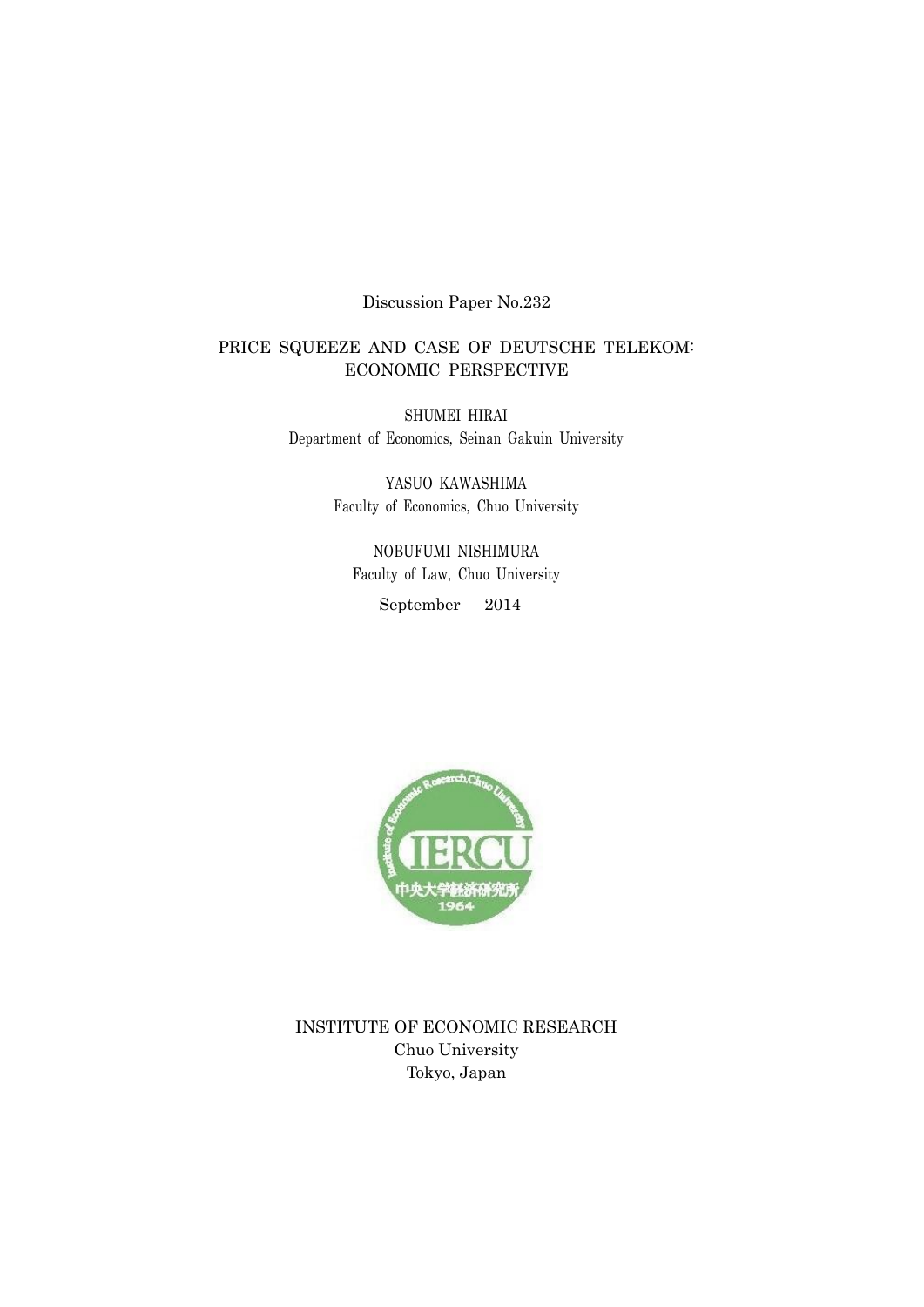# Discussion Paper No.232

# PRICE SQUEEZE AND CASE OF DEUTSCHE TELEKOM: ECONOMIC PERSPECTIVE

SHUMEI HIRAI Department of Economics, Seinan Gakuin University

> YASUO KAWASHIMA Faculty of Economics, Chuo University

NOBUFUMI NISHIMURA Faculty of Law, Chuo University September 2014



INSTITUTE OF ECONOMIC RESEARCH Chuo University Tokyo, Japan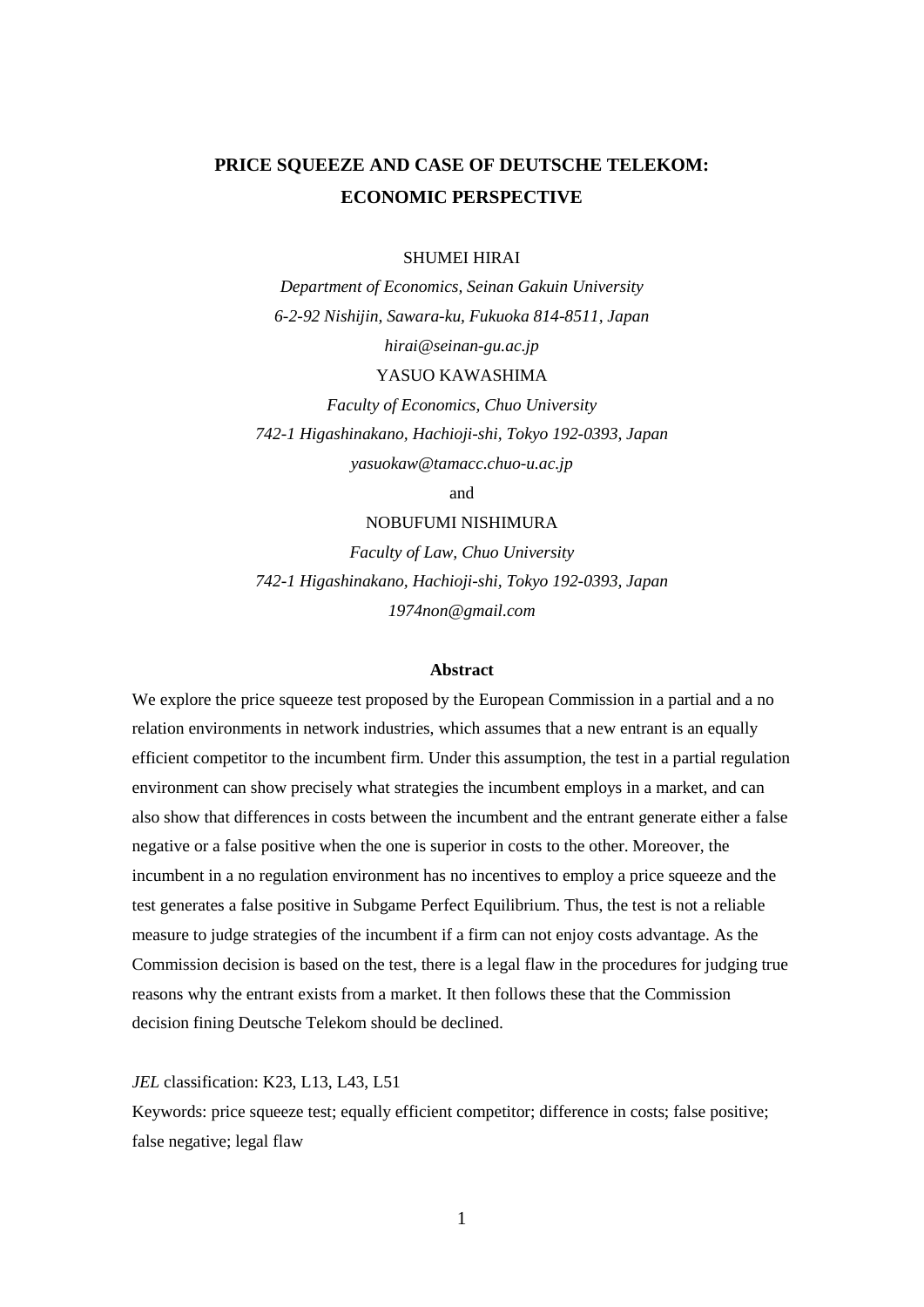# **PRICE SQUEEZE AND CASE OF DEUTSCHE TELEKOM: ECONOMIC PERSPECTIVE**

#### SHUMEI HIRAI

*Department of Economics, Seinan Gakuin University 6-2-92 Nishijin, Sawara-ku, Fukuoka 814-8511, Japan [hirai@seinan-gu.ac.jp](mailto:hirai@seinan-gu.ac.jp)*

#### YASUO KAWASHIMA

*Faculty of Economics, Chuo University 742-1 Higashinakano, Hachioji-shi, Tokyo 192-0393, Japan [yasuokaw@tamacc.chuo-u.ac.jp](mailto:yasuokaw@tamacc.chuo-u.ac.jp)*

and

# NOBUFUMI NISHIMURA

*Faculty of Law, Chuo University 742-1 Higashinakano, Hachioji-shi, Tokyo 192-0393, Japan [1974non@gmail.com](mailto:1974non@gmail.com)*

#### **Abstract**

We explore the price squeeze test proposed by the European Commission in a partial and a no relation environments in network industries, which assumes that a new entrant is an equally efficient competitor to the incumbent firm. Under this assumption, the test in a partial regulation environment can show precisely what strategies the incumbent employs in a market, and can also show that differences in costs between the incumbent and the entrant generate either a false negative or a false positive when the one is superior in costs to the other. Moreover, the incumbent in a no regulation environment has no incentives to employ a price squeeze and the test generates a false positive in Subgame Perfect Equilibrium. Thus, the test is not a reliable measure to judge strategies of the incumbent if a firm can not enjoy costs advantage. As the Commission decision is based on the test, there is a legal flaw in the procedures for judging true reasons why the entrant exists from a market. It then follows these that the Commission decision fining Deutsche Telekom should be declined.

*JEL* classification: K23, L13, L43, L51

Keywords: price squeeze test; equally efficient competitor; difference in costs; false positive; false negative; legal flaw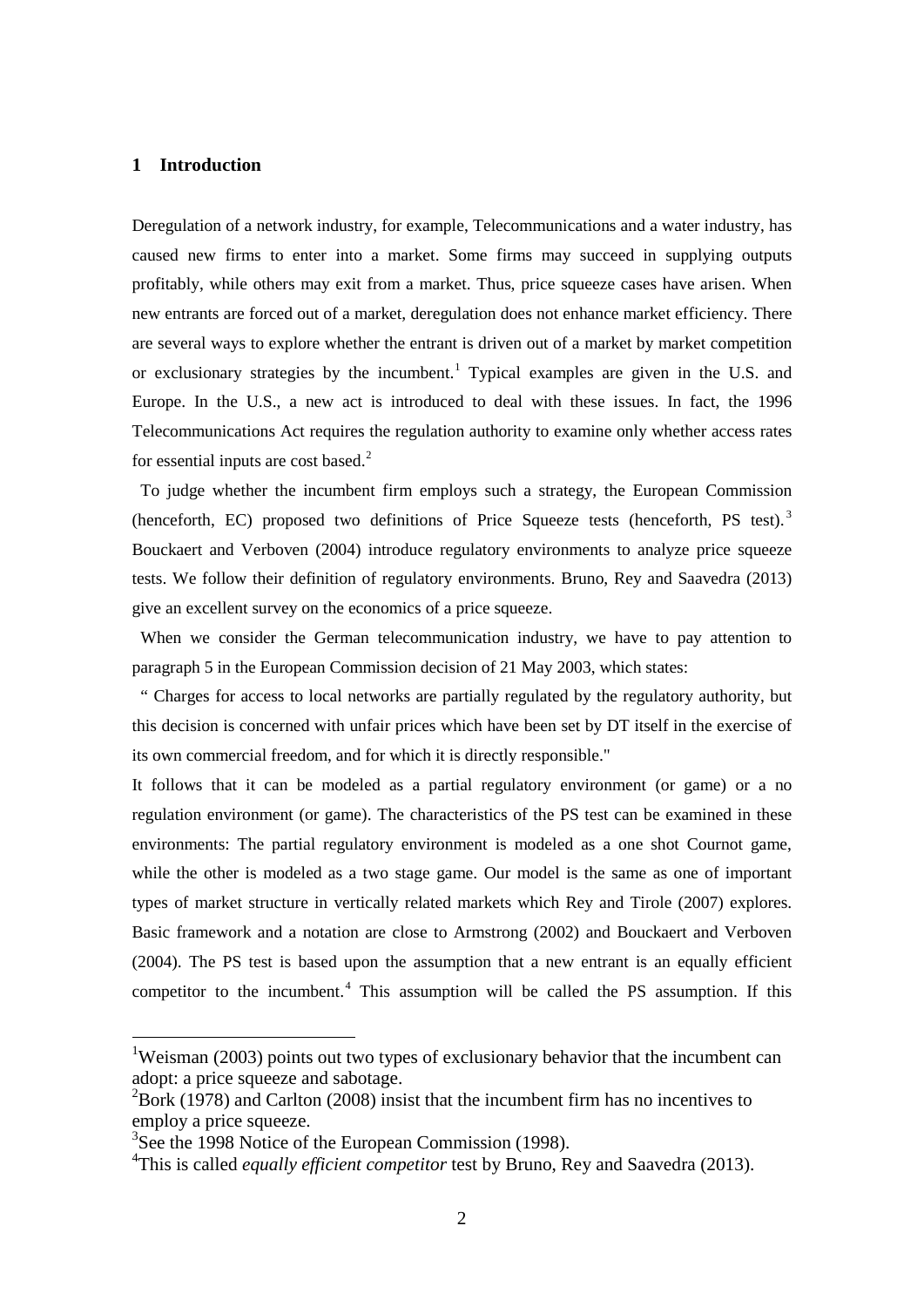## **1 Introduction**

Deregulation of a network industry, for example, Telecommunications and a water industry, has caused new firms to enter into a market. Some firms may succeed in supplying outputs profitably, while others may exit from a market. Thus, price squeeze cases have arisen. When new entrants are forced out of a market, deregulation does not enhance market efficiency. There are several ways to explore whether the entrant is driven out of a market by market competition or exclusionary strategies by the incumbent.<sup>[1](#page-2-0)</sup> Typical examples are given in the U.S. and Europe. In the U.S., a new act is introduced to deal with these issues. In fact, the 1996 Telecommunications Act requires the regulation authority to examine only whether access rates for essential inputs are cost based. $2$ 

To judge whether the incumbent firm employs such a strategy, the European Commission (henceforth, EC) proposed two definitions of Price Squeeze tests (henceforth, PS test).<sup>[3](#page-2-2)</sup> Bouckaert and Verboven (2004) introduce regulatory environments to analyze price squeeze tests. We follow their definition of regulatory environments. Bruno, Rey and Saavedra (2013) give an excellent survey on the economics of a price squeeze.

When we consider the German telecommunication industry, we have to pay attention to paragraph 5 in the European Commission decision of 21 May 2003, which states:

" Charges for access to local networks are partially regulated by the regulatory authority, but this decision is concerned with unfair prices which have been set by DT itself in the exercise of its own commercial freedom, and for which it is directly responsible."

It follows that it can be modeled as a partial regulatory environment (or game) or a no regulation environment (or game). The characteristics of the PS test can be examined in these environments: The partial regulatory environment is modeled as a one shot Cournot game, while the other is modeled as a two stage game. Our model is the same as one of important types of market structure in vertically related markets which Rey and Tirole (2007) explores. Basic framework and a notation are close to Armstrong (2002) and Bouckaert and Verboven (2004). The PS test is based upon the assumption that a new entrant is an equally efficient competitor to the incumbent. $4$  This assumption will be called the PS assumption. If this

<span id="page-2-0"></span><sup>&</sup>lt;sup>1</sup>Weisman (2003) points out two types of exclusionary behavior that the incumbent can adopt: a price squeeze and sabotage.

<span id="page-2-1"></span> $^{2}$ Bork (1978) and Carlton (2008) insist that the incumbent firm has no incentives to employ a price squeeze.

<span id="page-2-2"></span><sup>&</sup>lt;sup>3</sup>See the 1998 Notice of the European Commission (1998).

<span id="page-2-3"></span><sup>&</sup>lt;sup>4</sup>This is called *equally efficient competitor* test by Bruno, Rey and Saavedra (2013).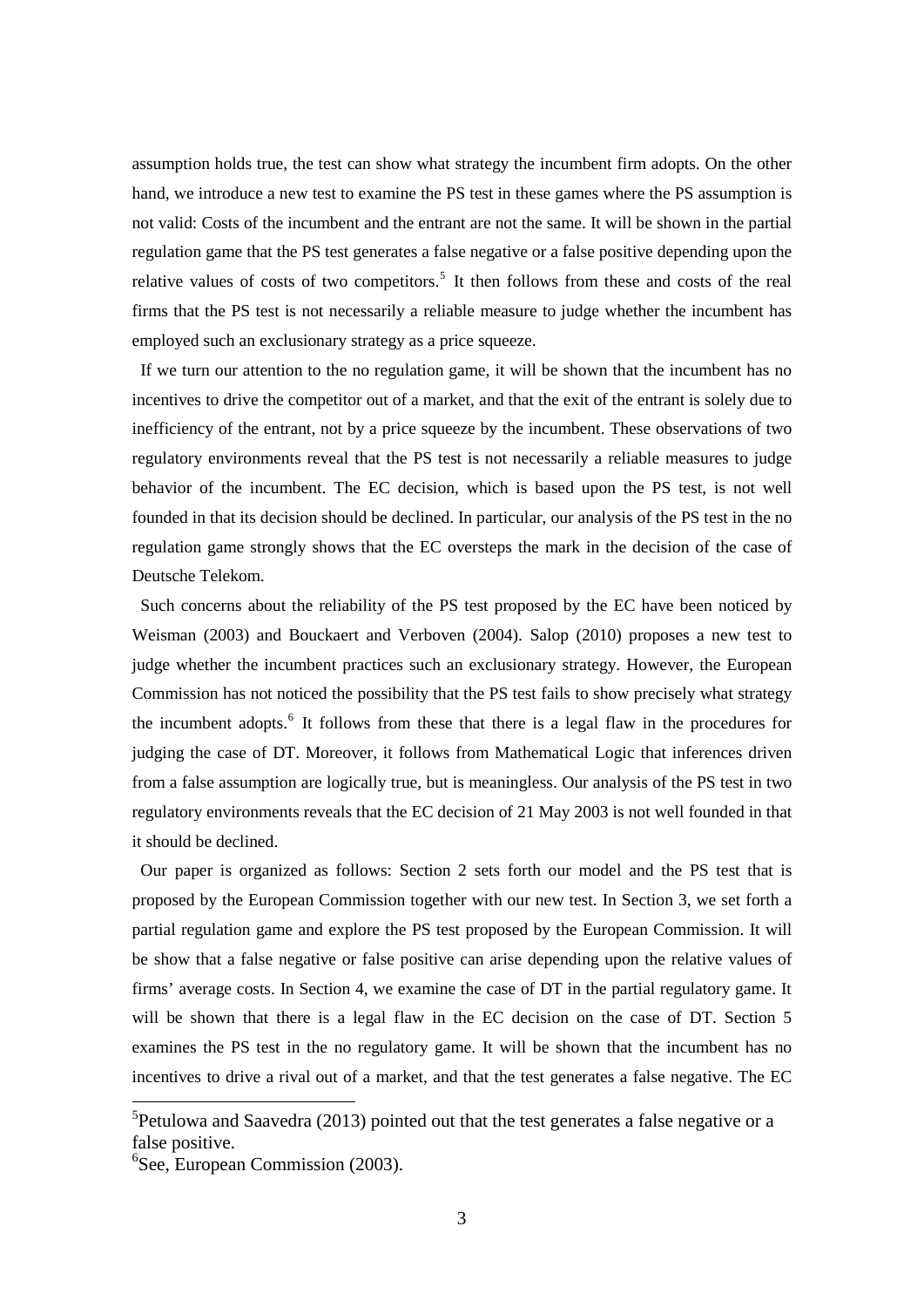assumption holds true, the test can show what strategy the incumbent firm adopts. On the other hand, we introduce a new test to examine the PS test in these games where the PS assumption is not valid: Costs of the incumbent and the entrant are not the same. It will be shown in the partial regulation game that the PS test generates a false negative or a false positive depending upon the relative values of costs of two competitors.<sup>[5](#page-3-0)</sup> It then follows from these and costs of the real firms that the PS test is not necessarily a reliable measure to judge whether the incumbent has employed such an exclusionary strategy as a price squeeze.

If we turn our attention to the no regulation game, it will be shown that the incumbent has no incentives to drive the competitor out of a market, and that the exit of the entrant is solely due to inefficiency of the entrant, not by a price squeeze by the incumbent. These observations of two regulatory environments reveal that the PS test is not necessarily a reliable measures to judge behavior of the incumbent. The EC decision, which is based upon the PS test, is not well founded in that its decision should be declined. In particular, our analysis of the PS test in the no regulation game strongly shows that the EC oversteps the mark in the decision of the case of Deutsche Telekom.

Such concerns about the reliability of the PS test proposed by the EC have been noticed by Weisman (2003) and Bouckaert and Verboven (2004). Salop (2010) proposes a new test to judge whether the incumbent practices such an exclusionary strategy. However, the European Commission has not noticed the possibility that the PS test fails to show precisely what strategy the incumbent adopts.<sup>[6](#page-3-1)</sup> It follows from these that there is a legal flaw in the procedures for judging the case of DT. Moreover, it follows from Mathematical Logic that inferences driven from a false assumption are logically true, but is meaningless. Our analysis of the PS test in two regulatory environments reveals that the EC decision of 21 May 2003 is not well founded in that it should be declined.

Our paper is organized as follows: Section 2 sets forth our model and the PS test that is proposed by the European Commission together with our new test. In Section 3, we set forth a partial regulation game and explore the PS test proposed by the European Commission. It will be show that a false negative or false positive can arise depending upon the relative values of firms' average costs. In Section 4, we examine the case of DT in the partial regulatory game. It will be shown that there is a legal flaw in the EC decision on the case of DT. Section 5 examines the PS test in the no regulatory game. It will be shown that the incumbent has no incentives to drive a rival out of a market, and that the test generates a false negative. The EC

<span id="page-3-0"></span><sup>&</sup>lt;sup>5</sup> Petulowa and Saavedra (2013) pointed out that the test generates a false negative or a false positive.

<span id="page-3-1"></span><sup>6</sup> See, European Commission (2003).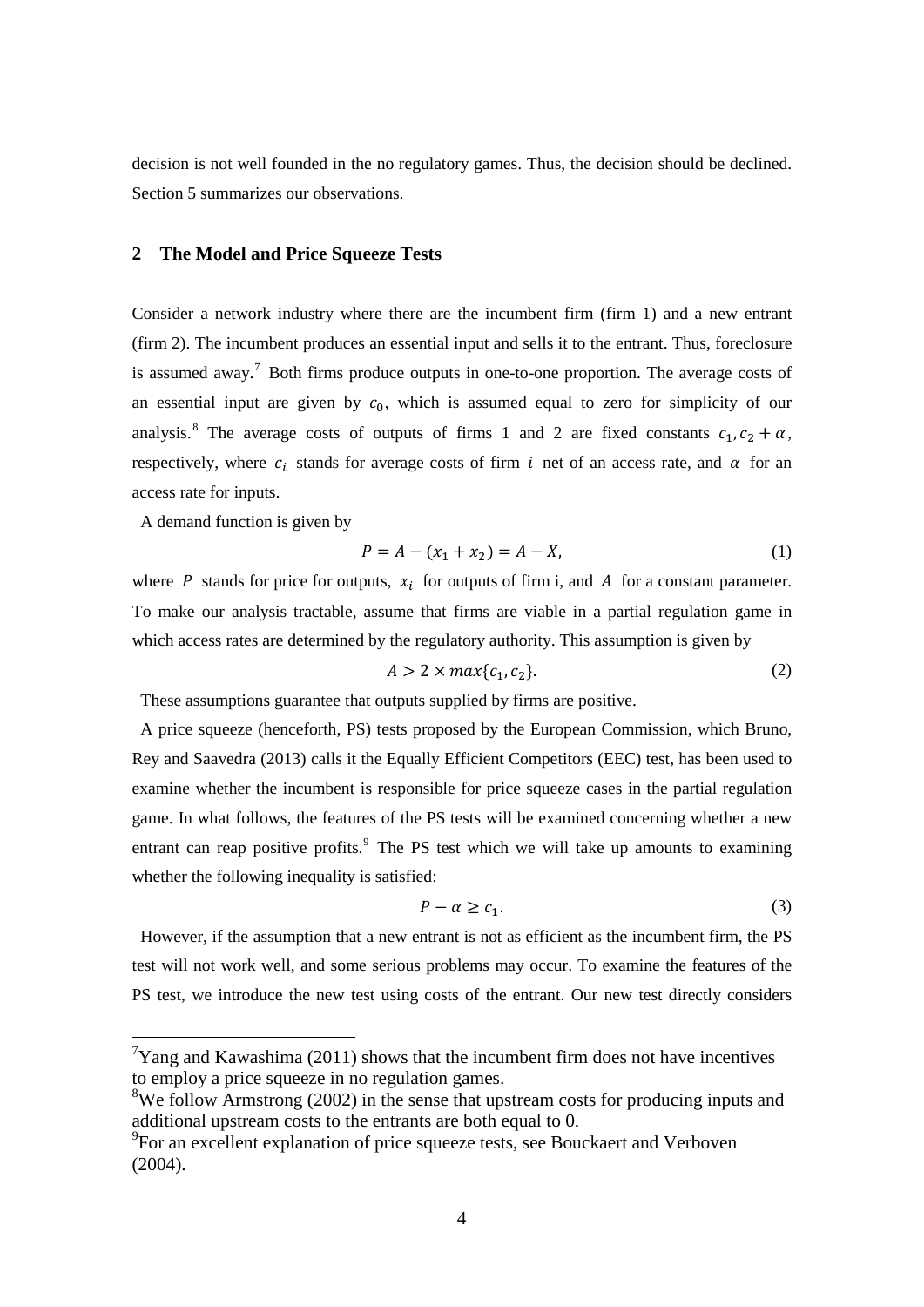decision is not well founded in the no regulatory games. Thus, the decision should be declined. Section 5 summarizes our observations.

# **2 The Model and Price Squeeze Tests**

Consider a network industry where there are the incumbent firm (firm 1) and a new entrant (firm 2). The incumbent produces an essential input and sells it to the entrant. Thus, foreclosure is assumed away.<sup>[7](#page-4-0)</sup> Both firms produce outputs in one-to-one proportion. The average costs of an essential input are given by  $c_0$ , which is assumed equal to zero for simplicity of our analysis.<sup>[8](#page-4-1)</sup> The average costs of outputs of firms 1 and 2 are fixed constants  $c_1$ ,  $c_2 + \alpha$ , respectively, where  $c_i$  stands for average costs of firm i net of an access rate, and  $\alpha$  for an access rate for inputs.

A demand function is given by

$$
P = A - (x_1 + x_2) = A - X,\tag{1}
$$

where  $P$  stands for price for outputs,  $x_i$  for outputs of firm i, and  $A$  for a constant parameter. To make our analysis tractable, assume that firms are viable in a partial regulation game in which access rates are determined by the regulatory authority. This assumption is given by

$$
A > 2 \times max\{c_1, c_2\}.
$$
 (2)

These assumptions guarantee that outputs supplied by firms are positive.

A price squeeze (henceforth, PS) tests proposed by the European Commission, which Bruno, Rey and Saavedra (2013) calls it the Equally Efficient Competitors (EEC) test, has been used to examine whether the incumbent is responsible for price squeeze cases in the partial regulation game. In what follows, the features of the PS tests will be examined concerning whether a new entrant can reap positive profits. $9$  The PS test which we will take up amounts to examining whether the following inequality is satisfied:

$$
P - \alpha \ge c_1. \tag{3}
$$

However, if the assumption that a new entrant is not as efficient as the incumbent firm, the PS test will not work well, and some serious problems may occur. To examine the features of the PS test, we introduce the new test using costs of the entrant. Our new test directly considers

<span id="page-4-0"></span> $\frac{1}{7}$ Yang and Kawashima (2011) shows that the incumbent firm does not have incentives to employ a price squeeze in no regulation games.

<span id="page-4-1"></span><sup>&</sup>lt;sup>8</sup>We follow Armstrong (2002) in the sense that upstream costs for producing inputs and additional upstream costs to the entrants are both equal to 0.

<span id="page-4-2"></span><sup>&</sup>lt;sup>9</sup>For an excellent explanation of price squeeze tests, see Bouckaert and Verboven (2004).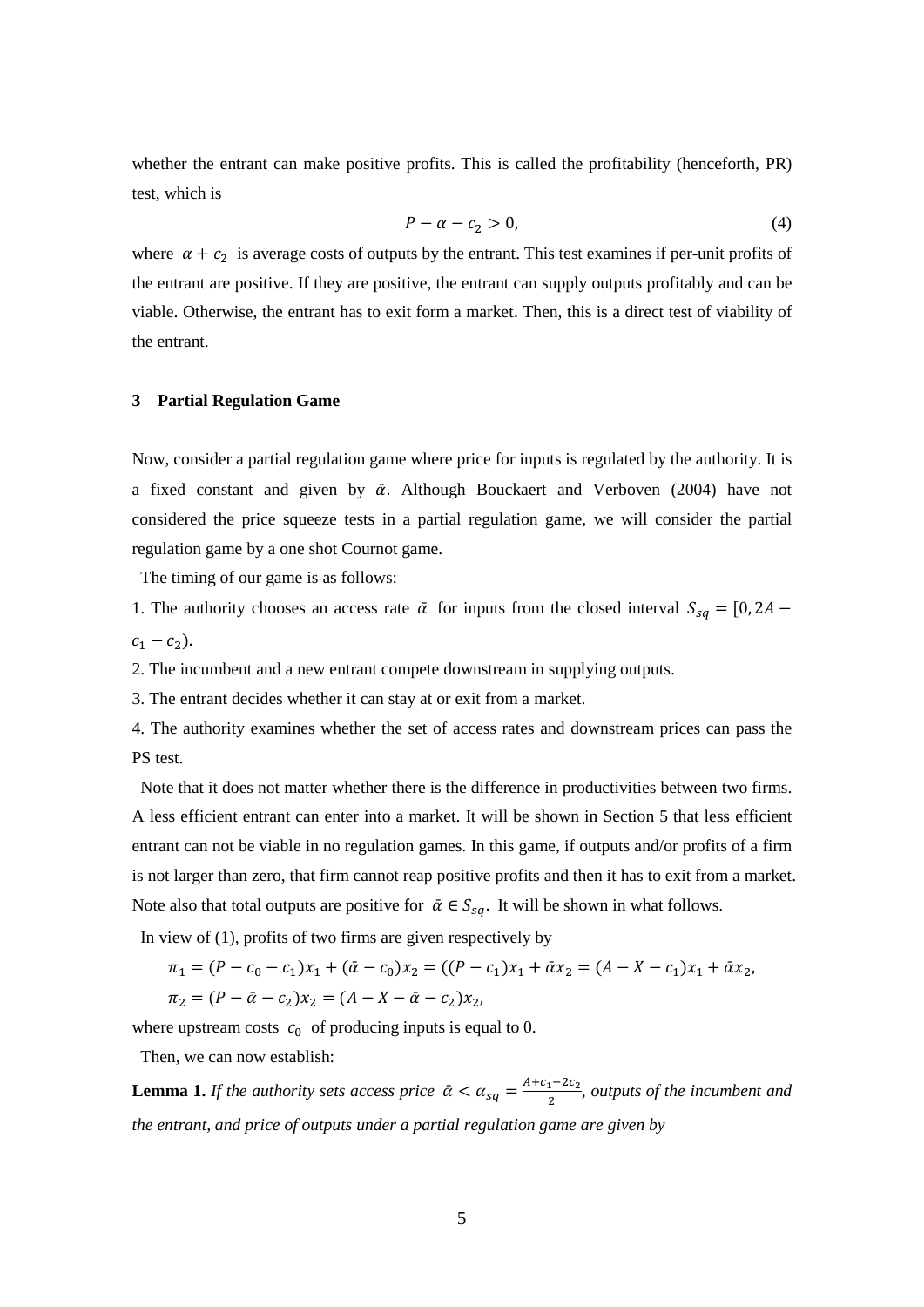whether the entrant can make positive profits. This is called the profitability (henceforth, PR) test, which is

$$
P - \alpha - c_2 > 0,\tag{4}
$$

where  $\alpha + c_2$  is average costs of outputs by the entrant. This test examines if per-unit profits of the entrant are positive. If they are positive, the entrant can supply outputs profitably and can be viable. Otherwise, the entrant has to exit form a market. Then, this is a direct test of viability of the entrant.

#### **3 Partial Regulation Game**

Now, consider a partial regulation game where price for inputs is regulated by the authority. It is a fixed constant and given by  $\bar{\alpha}$ . Although Bouckaert and Verboven (2004) have not considered the price squeeze tests in a partial regulation game, we will consider the partial regulation game by a one shot Cournot game.

The timing of our game is as follows:

1. The authority chooses an access rate  $\bar{\alpha}$  for inputs from the closed interval  $S_{sq} = [0, 2A$  $c_1 - c_2$ ).

2. The incumbent and a new entrant compete downstream in supplying outputs.

3. The entrant decides whether it can stay at or exit from a market.

4. The authority examines whether the set of access rates and downstream prices can pass the PS test.

Note that it does not matter whether there is the difference in productivities between two firms. A less efficient entrant can enter into a market. It will be shown in Section 5 that less efficient entrant can not be viable in no regulation games. In this game, if outputs and/or profits of a firm is not larger than zero, that firm cannot reap positive profits and then it has to exit from a market. Note also that total outputs are positive for  $\bar{\alpha} \in S_{sq}$ . It will be shown in what follows.

In view of (1), profits of two firms are given respectively by

$$
\pi_1 = (P - c_0 - c_1)x_1 + (\bar{\alpha} - c_0)x_2 = ((P - c_1)x_1 + \bar{\alpha}x_2 = (A - X - c_1)x_1 + \bar{\alpha}x_2,
$$
  

$$
\pi_2 = (P - \bar{\alpha} - c_2)x_2 = (A - X - \bar{\alpha} - c_2)x_2,
$$

where upstream costs  $c_0$  of producing inputs is equal to 0.

Then, we can now establish:

**Lemma 1.** *If the authority sets access price*  $\bar{\alpha} < \alpha_{sq} = \frac{A+c_1-2c_2}{2}$ , *outputs of the incumbent and the entrant, and price of outputs under a partial regulation game are given by*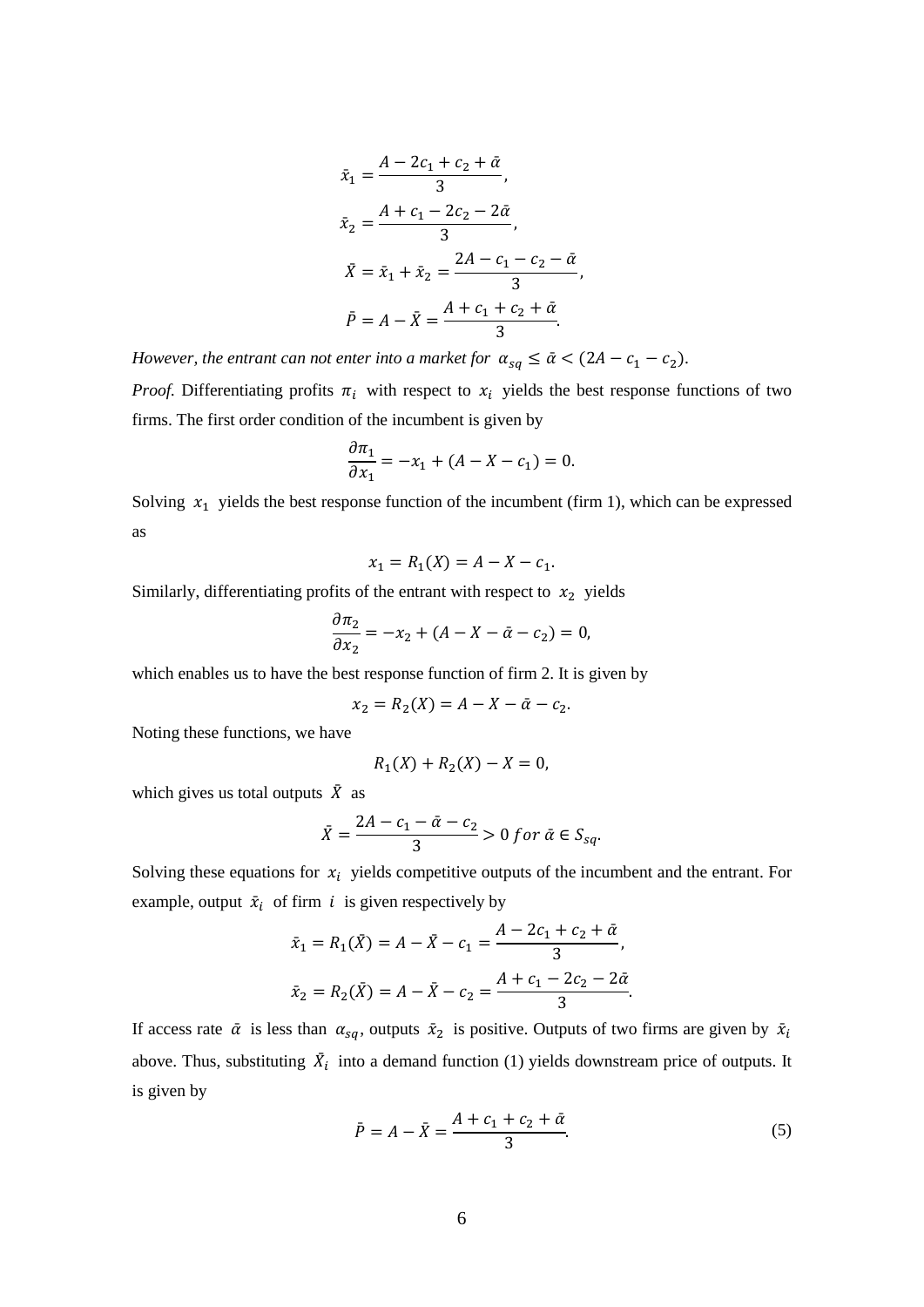$$
\bar{x}_1 = \frac{A - 2c_1 + c_2 + \bar{\alpha}}{3},
$$
\n
$$
\bar{x}_2 = \frac{A + c_1 - 2c_2 - 2\bar{\alpha}}{3},
$$
\n
$$
\bar{X} = \bar{x}_1 + \bar{x}_2 = \frac{2A - c_1 - c_2 - \bar{\alpha}}{3},
$$
\n
$$
\bar{P} = A - \bar{X} = \frac{A + c_1 + c_2 + \bar{\alpha}}{3}.
$$

*However, the entrant can not enter into a market for*  $\alpha_{sq} \leq \bar{\alpha} < (2A - c_1 - c_2)$ *.* 

*Proof.* Differentiating profits  $\pi_i$  with respect to  $x_i$  yields the best response functions of two firms. The first order condition of the incumbent is given by

$$
\frac{\partial \pi_1}{\partial x_1} = -x_1 + (A - X - c_1) = 0.
$$

Solving  $x_1$  yields the best response function of the incumbent (firm 1), which can be expressed as

$$
x_1 = R_1(X) = A - X - c_1.
$$

Similarly, differentiating profits of the entrant with respect to  $x_2$  yields

$$
\frac{\partial \pi_2}{\partial x_2} = -x_2 + (A - X - \bar{\alpha} - c_2) = 0,
$$

which enables us to have the best response function of firm 2. It is given by

$$
x_2 = R_2(X) = A - X - \bar{\alpha} - c_2.
$$

Noting these functions, we have

$$
R_1(X) + R_2(X) - X = 0,
$$

which gives us total outputs  $\bar{X}$  as

$$
\bar{X} = \frac{2A - c_1 - \bar{\alpha} - c_2}{3} > 0 \text{ for } \bar{\alpha} \in S_{sq}.
$$

Solving these equations for  $x_i$  yields competitive outputs of the incumbent and the entrant. For example, output  $\bar{x}_i$  of firm *i* is given respectively by

$$
\bar{x}_1 = R_1(\bar{X}) = A - \bar{X} - c_1 = \frac{A - 2c_1 + c_2 + \bar{\alpha}}{3},
$$
  

$$
\bar{x}_2 = R_2(\bar{X}) = A - \bar{X} - c_2 = \frac{A + c_1 - 2c_2 - 2\bar{\alpha}}{3}.
$$

If access rate  $\bar{\alpha}$  is less than  $\alpha_{sq}$ , outputs  $\bar{x}_2$  is positive. Outputs of two firms are given by  $\bar{x}_i$ above. Thus, substituting  $\bar{X}_i$  into a demand function (1) yields downstream price of outputs. It is given by

$$
\bar{P} = A - \bar{X} = \frac{A + c_1 + c_2 + \bar{\alpha}}{3}.
$$
\n(5)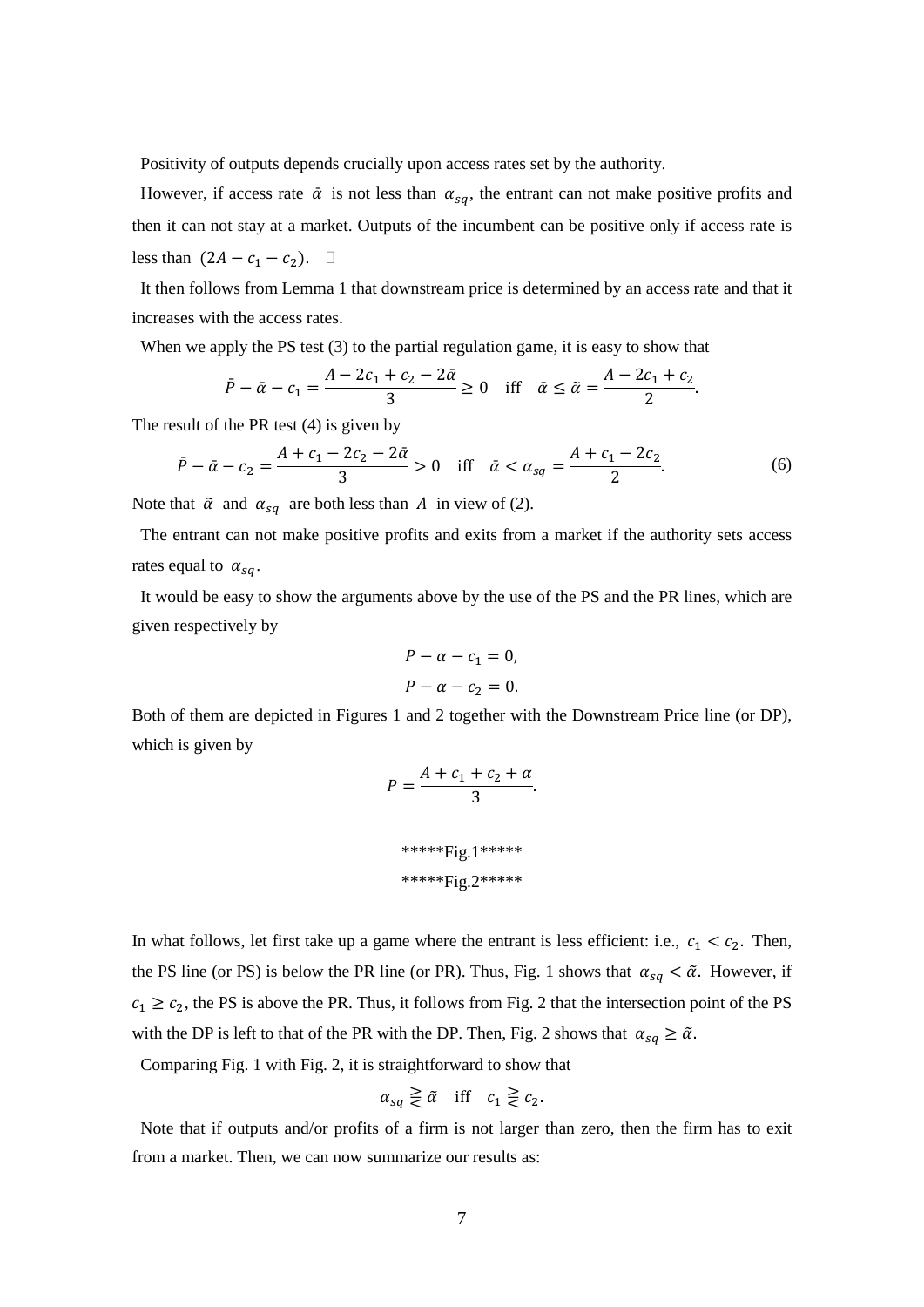Positivity of outputs depends crucially upon access rates set by the authority.

However, if access rate  $\bar{\alpha}$  is not less than  $\alpha_{sa}$ , the entrant can not make positive profits and then it can not stay at a market. Outputs of the incumbent can be positive only if access rate is less than  $(2A - c_1 - c_2)$ .  $\Box$ 

It then follows from Lemma 1 that downstream price is determined by an access rate and that it increases with the access rates.

When we apply the PS test (3) to the partial regulation game, it is easy to show that

$$
\bar{P} - \bar{\alpha} - c_1 = \frac{A - 2c_1 + c_2 - 2\bar{\alpha}}{3} \ge 0 \quad \text{iff} \quad \bar{\alpha} \le \tilde{\alpha} = \frac{A - 2c_1 + c_2}{2}.
$$

The result of the PR test (4) is given by

$$
\bar{P} - \bar{\alpha} - c_2 = \frac{A + c_1 - 2c_2 - 2\bar{\alpha}}{3} > 0 \quad \text{iff} \quad \bar{\alpha} < \alpha_{sq} = \frac{A + c_1 - 2c_2}{2}.\tag{6}
$$

Note that  $\tilde{\alpha}$  and  $\alpha_{sq}$  are both less than A in view of (2).

The entrant can not make positive profits and exits from a market if the authority sets access rates equal to  $\alpha_{sa}$ .

It would be easy to show the arguments above by the use of the PS and the PR lines, which are given respectively by

$$
P - \alpha - c_1 = 0,
$$
  

$$
P - \alpha - c_2 = 0.
$$

Both of them are depicted in Figures 1 and 2 together with the Downstream Price line (or DP), which is given by

$$
P = \frac{A + c_1 + c_2 + \alpha}{3}.
$$
  
\*\*\*\*Fig.1\*\*\*\*  
\*\*\*\*Fig.2\*\*\*\*

In what follows, let first take up a game where the entrant is less efficient: i.e.,  $c_1 < c_2$ . Then, the PS line (or PS) is below the PR line (or PR). Thus, Fig. 1 shows that  $\alpha_{sq} < \tilde{\alpha}$ . However, if  $c_1 \ge c_2$ , the PS is above the PR. Thus, it follows from Fig. 2 that the intersection point of the PS with the DP is left to that of the PR with the DP. Then, Fig. 2 shows that  $\alpha_{sq} \geq \tilde{\alpha}$ .

Comparing Fig. 1 with Fig. 2, it is straightforward to show that

$$
\alpha_{sq} \gtrless \tilde{\alpha} \quad \text{iff} \quad c_1 \gtrless c_2.
$$

Note that if outputs and/or profits of a firm is not larger than zero, then the firm has to exit from a market. Then, we can now summarize our results as: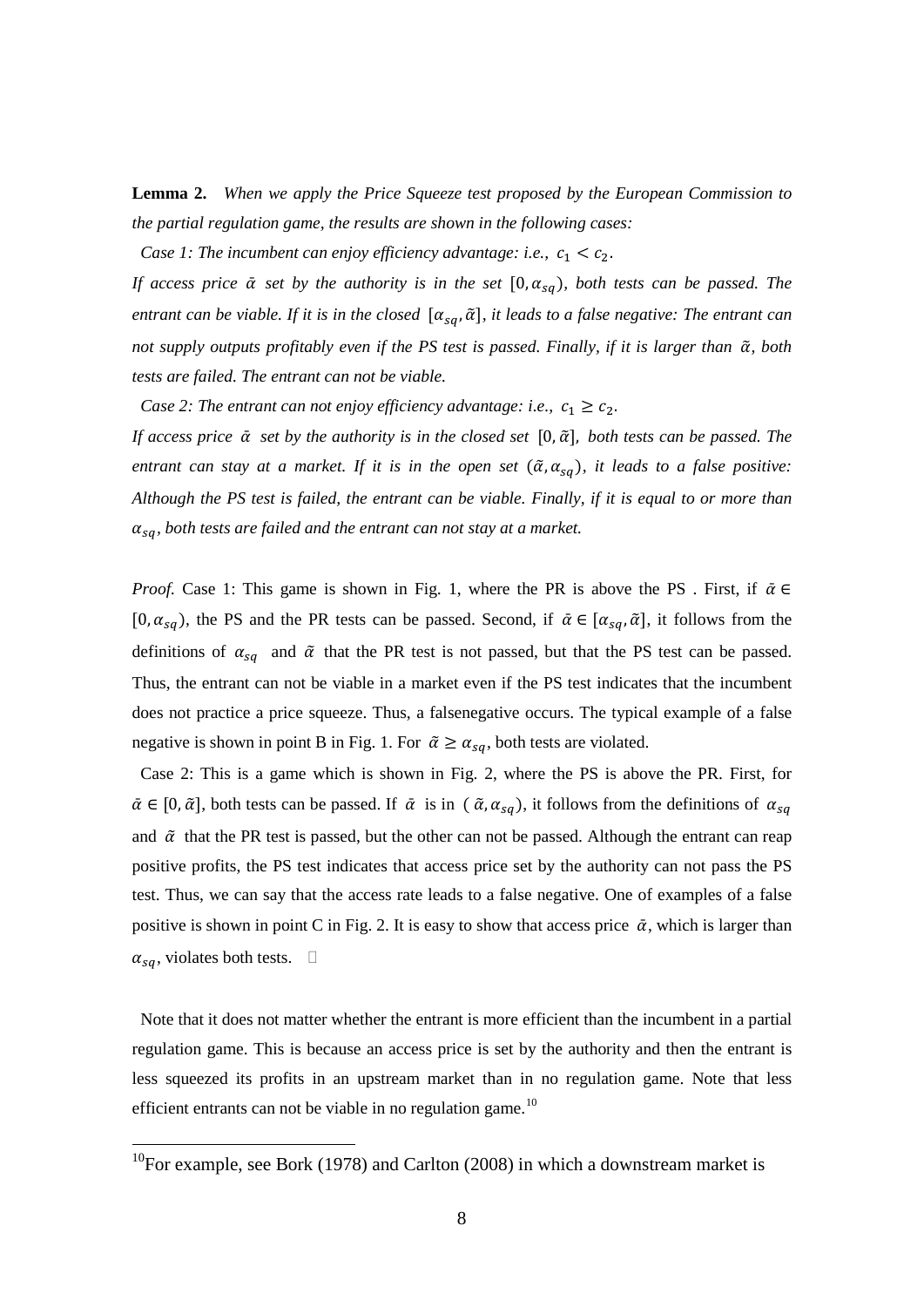**Lemma 2.** *When we apply the Price Squeeze test proposed by the European Commission to the partial regulation game, the results are shown in the following cases:* 

*Case 1: The incumbent can enjoy efficiency advantage: i.e.,*  $c_1 < c_2$ *.* 

*If access price*  $\bar{\alpha}$  *set by the authority is in the set*  $[0, \alpha_{sq})$ , both tests can be passed. The *entrant can be viable. If it is in the closed*  $[\alpha_{sa}, \tilde{\alpha}]$ , *it leads to a false negative: The entrant can not supply outputs profitably even if the PS test is passed. Finally, if it is larger than*  $\tilde{\alpha}$ *, both tests are failed. The entrant can not be viable.* 

*Case 2: The entrant can not enjoy efficiency advantage: i.e.,*  $c_1 \ge c_2$ .

*If access price*  $\bar{\alpha}$  *set by the authority is in the closed set* [0, $\tilde{\alpha}$ ], *both tests can be passed. The entrant can stay at a market. If it is in the open set*  $(\tilde{\alpha}, \alpha_{sa})$ , it leads to a false positive: *Although the PS test is failed, the entrant can be viable. Finally, if it is equal to or more than*   $\alpha_{sq}$ , both tests are failed and the entrant can not stay at a market.

*Proof.* Case 1: This game is shown in Fig. 1, where the PR is above the PS. First, if  $\bar{\alpha} \in$ [0,  $\alpha_{sa}$ ], the PS and the PR tests can be passed. Second, if  $\bar{\alpha} \in [\alpha_{sa}, \tilde{\alpha}]$ , it follows from the definitions of  $\alpha_{sq}$  and  $\tilde{\alpha}$  that the PR test is not passed, but that the PS test can be passed. Thus, the entrant can not be viable in a market even if the PS test indicates that the incumbent does not practice a price squeeze. Thus, a falsenegative occurs. The typical example of a false negative is shown in point B in Fig. 1. For  $\tilde{\alpha} \ge \alpha_{sa}$ , both tests are violated.

Case 2: This is a game which is shown in Fig. 2, where the PS is above the PR. First, for  $\bar{\alpha} \in [0, \tilde{\alpha}]$ , both tests can be passed. If  $\bar{\alpha}$  is in  $(\tilde{\alpha}, \alpha_{sq})$ , it follows from the definitions of  $\alpha_{sq}$ and  $\tilde{\alpha}$  that the PR test is passed, but the other can not be passed. Although the entrant can reap positive profits, the PS test indicates that access price set by the authority can not pass the PS test. Thus, we can say that the access rate leads to a false negative. One of examples of a false positive is shown in point C in Fig. 2. It is easy to show that access price  $\bar{\alpha}$ , which is larger than  $\alpha_{sq}$ , violates both tests.  $\square$ 

Note that it does not matter whether the entrant is more efficient than the incumbent in a partial regulation game. This is because an access price is set by the authority and then the entrant is less squeezed its profits in an upstream market than in no regulation game. Note that less efficient entrants can not be viable in no regulation game.<sup>[10](#page-8-0)</sup>

<span id="page-8-0"></span> $10$ For example, see Bork (1978) and Carlton (2008) in which a downstream market is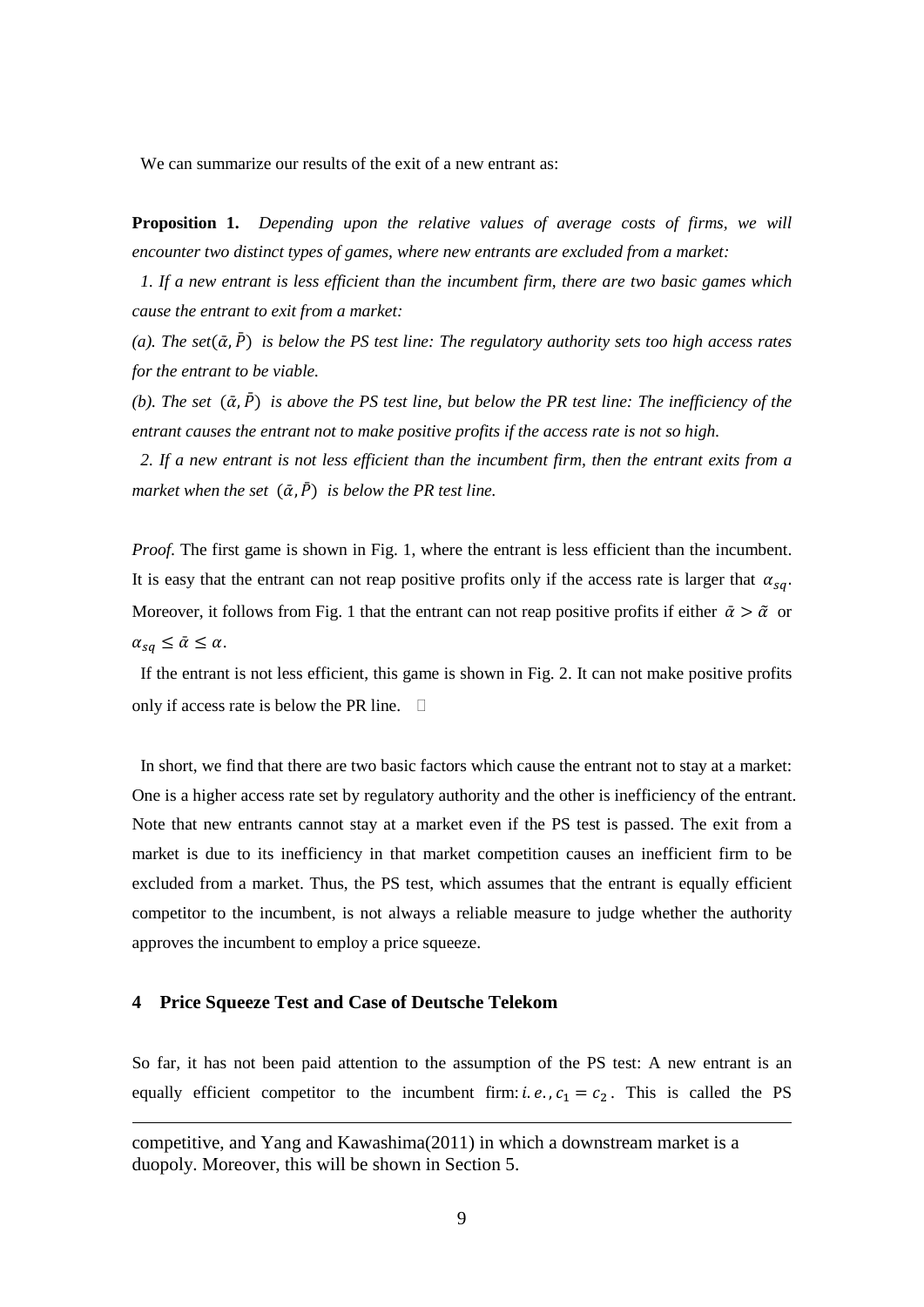We can summarize our results of the exit of a new entrant as:

**Proposition 1.** *Depending upon the relative values of average costs of firms, we will encounter two distinct types of games, where new entrants are excluded from a market:* 

*1. If a new entrant is less efficient than the incumbent firm, there are two basic games which cause the entrant to exit from a market:* 

 $(a)$ . The set $(\bar{\alpha}, \bar{P})$  is below the PS test line: The regulatory authority sets too high access rates *for the entrant to be viable.* 

*(b). The set*  $(\bar{\alpha}, \bar{P})$  *is above the PS test line, but below the PR test line: The inefficiency of the entrant causes the entrant not to make positive profits if the access rate is not so high.* 

*2. If a new entrant is not less efficient than the incumbent firm, then the entrant exits from a market when the set*  $(\bar{\alpha}, \bar{P})$  *is below the PR test line.* 

*Proof.* The first game is shown in Fig. 1, where the entrant is less efficient than the incumbent. It is easy that the entrant can not reap positive profits only if the access rate is larger that  $\alpha_{sa}$ . Moreover, it follows from Fig. 1 that the entrant can not reap positive profits if either  $\bar{\alpha} > \tilde{\alpha}$  or  $\alpha_{sa} \leq \bar{\alpha} \leq \alpha$ .

If the entrant is not less efficient, this game is shown in Fig. 2. It can not make positive profits only if access rate is below the PR line.  $\Box$ 

In short, we find that there are two basic factors which cause the entrant not to stay at a market: One is a higher access rate set by regulatory authority and the other is inefficiency of the entrant. Note that new entrants cannot stay at a market even if the PS test is passed. The exit from a market is due to its inefficiency in that market competition causes an inefficient firm to be excluded from a market. Thus, the PS test, which assumes that the entrant is equally efficient competitor to the incumbent, is not always a reliable measure to judge whether the authority approves the incumbent to employ a price squeeze.

## **4 Price Squeeze Test and Case of Deutsche Telekom**

 $\overline{a}$ 

So far, it has not been paid attention to the assumption of the PS test: A new entrant is an equally efficient competitor to the incumbent firm: *i.e.*,  $c_1 = c_2$ . This is called the PS

competitive, and Yang and Kawashima(2011) in which a downstream market is a duopoly. Moreover, this will be shown in Section 5.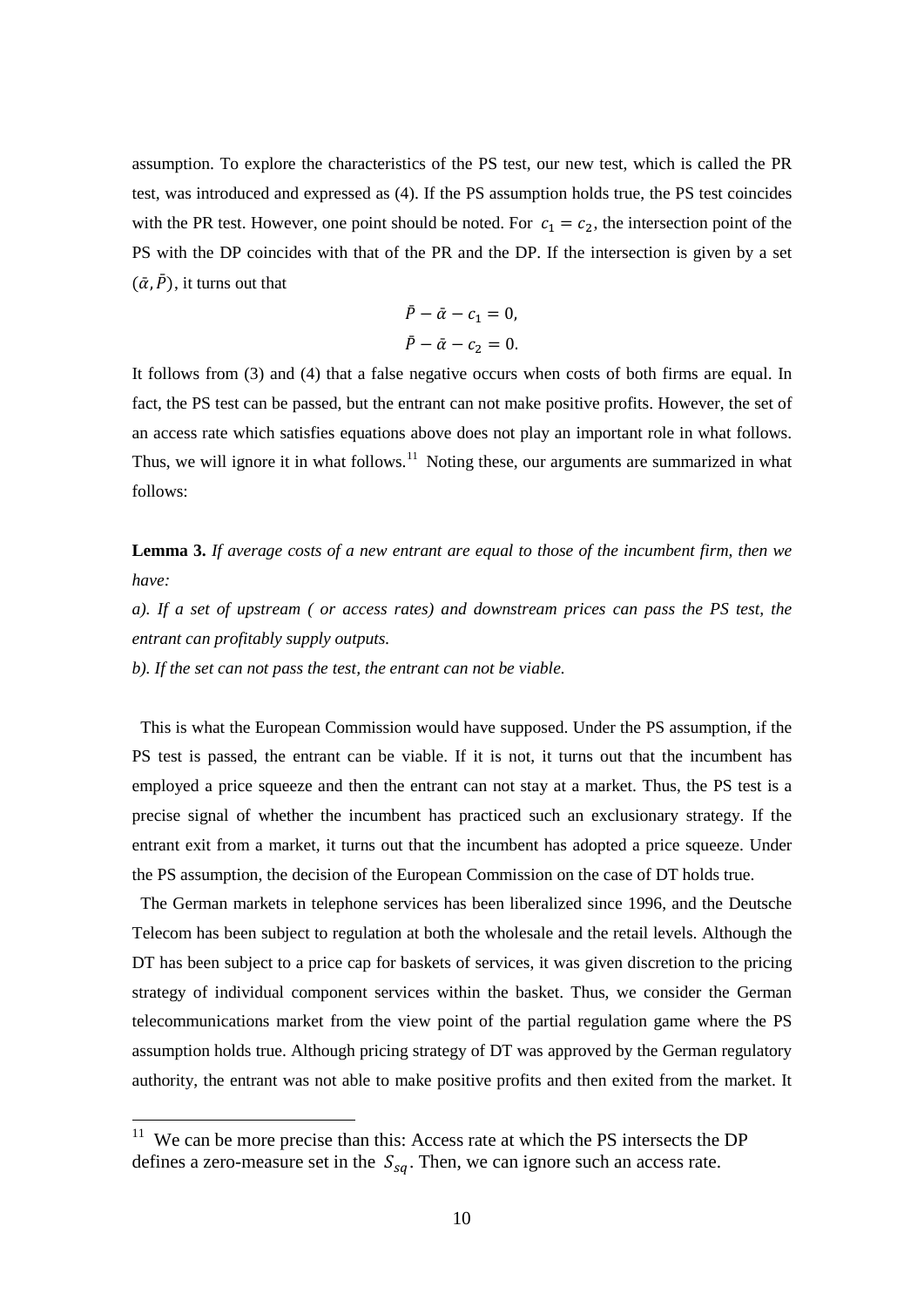assumption. To explore the characteristics of the PS test, our new test, which is called the PR test, was introduced and expressed as (4). If the PS assumption holds true, the PS test coincides with the PR test. However, one point should be noted. For  $c_1 = c_2$ , the intersection point of the PS with the DP coincides with that of the PR and the DP. If the intersection is given by a set  $(\bar{\alpha}, \bar{P})$ , it turns out that

$$
\bar{P} - \bar{\alpha} - c_1 = 0,
$$
  

$$
\bar{P} - \bar{\alpha} - c_2 = 0.
$$

It follows from (3) and (4) that a false negative occurs when costs of both firms are equal. In fact, the PS test can be passed, but the entrant can not make positive profits. However, the set of an access rate which satisfies equations above does not play an important role in what follows. Thus, we will ignore it in what follows.<sup>[11](#page-10-0)</sup> Noting these, our arguments are summarized in what follows:

**Lemma 3.** *If average costs of a new entrant are equal to those of the incumbent firm, then we have:* 

*a). If a set of upstream ( or access rates) and downstream prices can pass the PS test, the entrant can profitably supply outputs.* 

*b). If the set can not pass the test, the entrant can not be viable.* 

This is what the European Commission would have supposed. Under the PS assumption, if the PS test is passed, the entrant can be viable. If it is not, it turns out that the incumbent has employed a price squeeze and then the entrant can not stay at a market. Thus, the PS test is a precise signal of whether the incumbent has practiced such an exclusionary strategy. If the entrant exit from a market, it turns out that the incumbent has adopted a price squeeze. Under the PS assumption, the decision of the European Commission on the case of DT holds true.

The German markets in telephone services has been liberalized since 1996, and the Deutsche Telecom has been subject to regulation at both the wholesale and the retail levels. Although the DT has been subject to a price cap for baskets of services, it was given discretion to the pricing strategy of individual component services within the basket. Thus, we consider the German telecommunications market from the view point of the partial regulation game where the PS assumption holds true. Although pricing strategy of DT was approved by the German regulatory authority, the entrant was not able to make positive profits and then exited from the market. It

<span id="page-10-0"></span> $11$  We can be more precise than this: Access rate at which the PS intersects the DP defines a zero-measure set in the  $S_{sq}$ . Then, we can ignore such an access rate.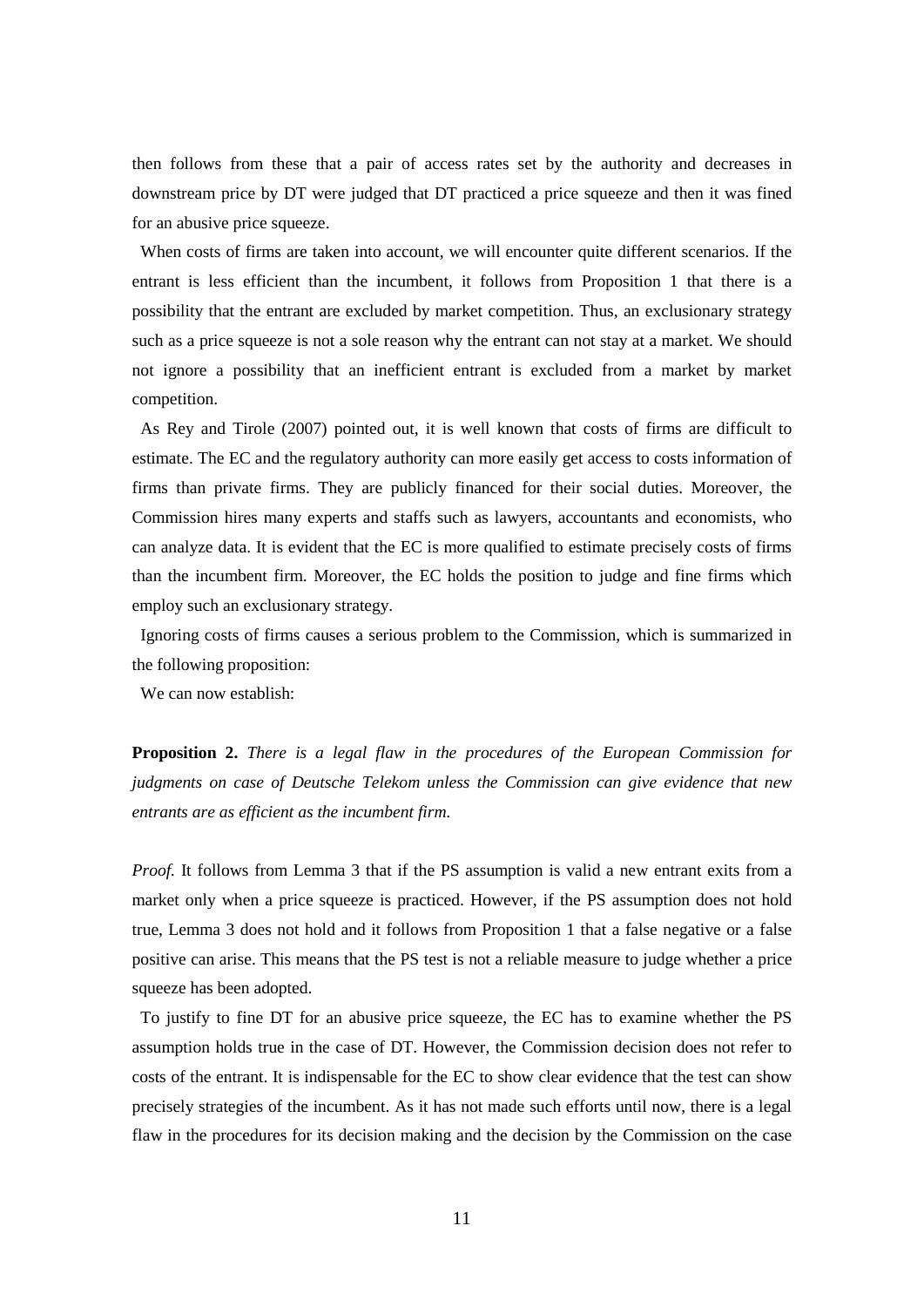then follows from these that a pair of access rates set by the authority and decreases in downstream price by DT were judged that DT practiced a price squeeze and then it was fined for an abusive price squeeze.

When costs of firms are taken into account, we will encounter quite different scenarios. If the entrant is less efficient than the incumbent, it follows from Proposition 1 that there is a possibility that the entrant are excluded by market competition. Thus, an exclusionary strategy such as a price squeeze is not a sole reason why the entrant can not stay at a market. We should not ignore a possibility that an inefficient entrant is excluded from a market by market competition.

As Rey and Tirole (2007) pointed out, it is well known that costs of firms are difficult to estimate. The EC and the regulatory authority can more easily get access to costs information of firms than private firms. They are publicly financed for their social duties. Moreover, the Commission hires many experts and staffs such as lawyers, accountants and economists, who can analyze data. It is evident that the EC is more qualified to estimate precisely costs of firms than the incumbent firm. Moreover, the EC holds the position to judge and fine firms which employ such an exclusionary strategy.

Ignoring costs of firms causes a serious problem to the Commission, which is summarized in the following proposition:

We can now establish:

**Proposition 2.** *There is a legal flaw in the procedures of the European Commission for judgments on case of Deutsche Telekom unless the Commission can give evidence that new entrants are as efficient as the incumbent firm.* 

*Proof.* It follows from Lemma 3 that if the PS assumption is valid a new entrant exits from a market only when a price squeeze is practiced. However, if the PS assumption does not hold true, Lemma 3 does not hold and it follows from Proposition 1 that a false negative or a false positive can arise. This means that the PS test is not a reliable measure to judge whether a price squeeze has been adopted.

To justify to fine DT for an abusive price squeeze, the EC has to examine whether the PS assumption holds true in the case of DT. However, the Commission decision does not refer to costs of the entrant. It is indispensable for the EC to show clear evidence that the test can show precisely strategies of the incumbent. As it has not made such efforts until now, there is a legal flaw in the procedures for its decision making and the decision by the Commission on the case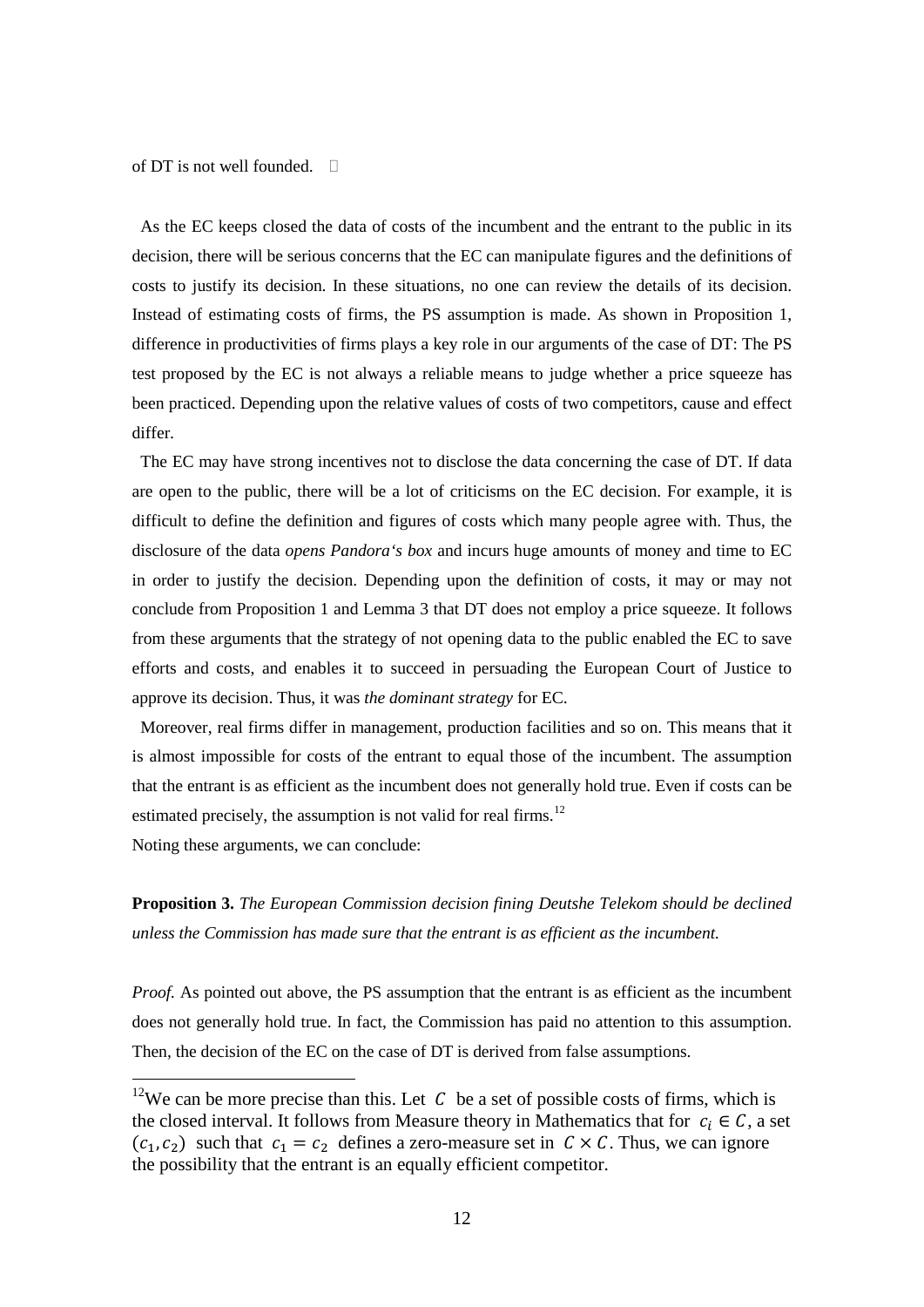of DT is not well founded  $\Box$ 

As the EC keeps closed the data of costs of the incumbent and the entrant to the public in its decision, there will be serious concerns that the EC can manipulate figures and the definitions of costs to justify its decision. In these situations, no one can review the details of its decision. Instead of estimating costs of firms, the PS assumption is made. As shown in Proposition 1, difference in productivities of firms plays a key role in our arguments of the case of DT: The PS test proposed by the EC is not always a reliable means to judge whether a price squeeze has been practiced. Depending upon the relative values of costs of two competitors, cause and effect differ.

The EC may have strong incentives not to disclose the data concerning the case of DT. If data are open to the public, there will be a lot of criticisms on the EC decision. For example, it is difficult to define the definition and figures of costs which many people agree with. Thus, the disclosure of the data *opens Pandora's box* and incurs huge amounts of money and time to EC in order to justify the decision. Depending upon the definition of costs, it may or may not conclude from Proposition 1 and Lemma 3 that DT does not employ a price squeeze. It follows from these arguments that the strategy of not opening data to the public enabled the EC to save efforts and costs, and enables it to succeed in persuading the European Court of Justice to approve its decision. Thus, it was *the dominant strategy* for EC.

Moreover, real firms differ in management, production facilities and so on. This means that it is almost impossible for costs of the entrant to equal those of the incumbent. The assumption that the entrant is as efficient as the incumbent does not generally hold true. Even if costs can be estimated precisely, the assumption is not valid for real firms.<sup>[12](#page-12-0)</sup>

Noting these arguments, we can conclude:

**Proposition 3.** *The European Commission decision fining Deutshe Telekom should be declined unless the Commission has made sure that the entrant is as efficient as the incumbent.* 

*Proof.* As pointed out above, the PS assumption that the entrant is as efficient as the incumbent does not generally hold true. In fact, the Commission has paid no attention to this assumption. Then, the decision of the EC on the case of DT is derived from false assumptions.

<span id="page-12-0"></span><sup>&</sup>lt;sup>12</sup>We can be more precise than this. Let  $C$  be a set of possible costs of firms, which is the closed interval. It follows from Measure theory in Mathematics that for  $c_i \in \mathcal{C}$ , a set  $(c_1, c_2)$  such that  $c_1 = c_2$  defines a zero-measure set in  $C \times C$ . Thus, we can ignore the possibility that the entrant is an equally efficient competitor.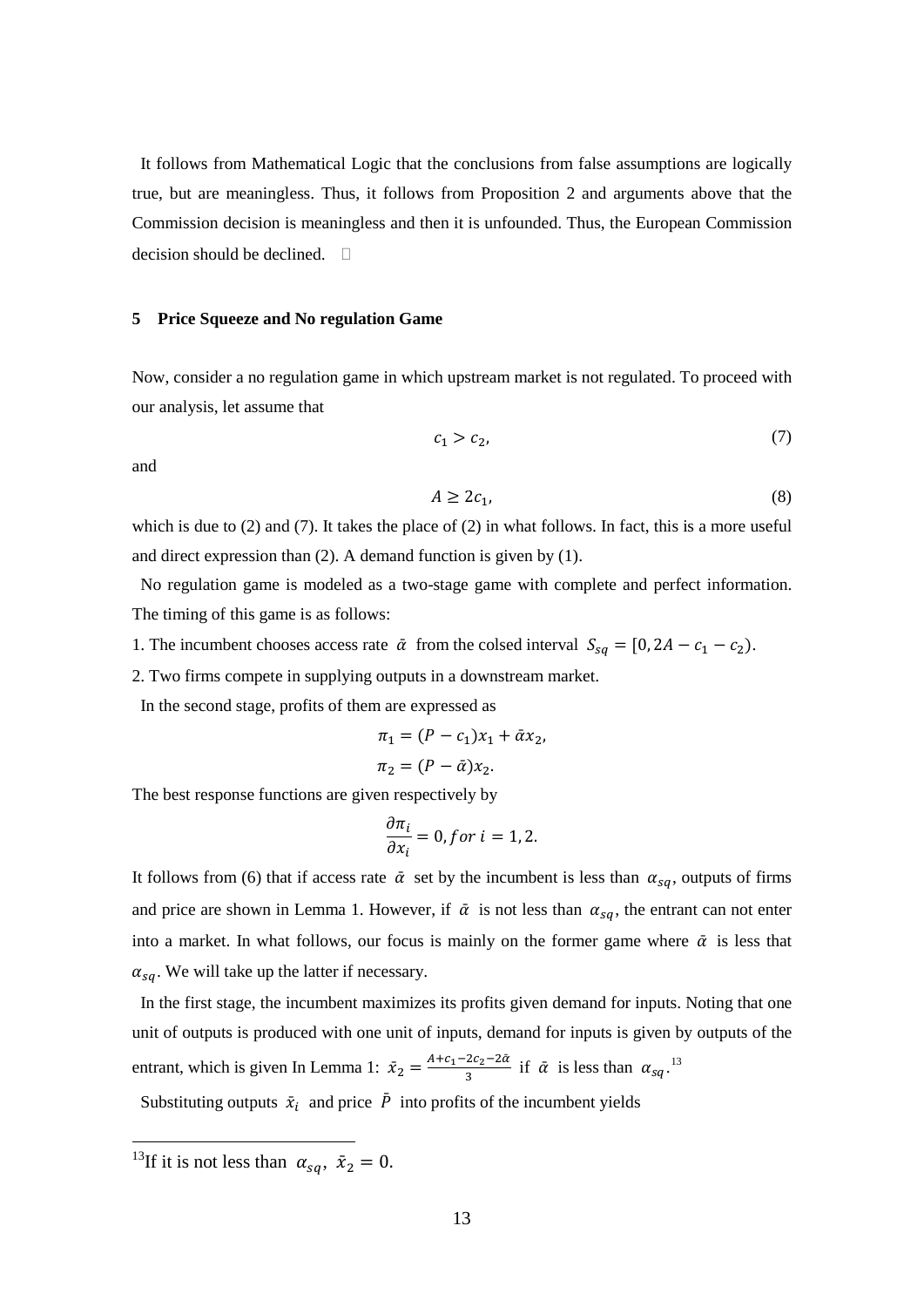It follows from Mathematical Logic that the conclusions from false assumptions are logically true, but are meaningless. Thus, it follows from Proposition 2 and arguments above that the Commission decision is meaningless and then it is unfounded. Thus, the European Commission decision should be declined.  $\Box$ 

#### **5 Price Squeeze and No regulation Game**

Now, consider a no regulation game in which upstream market is not regulated. To proceed with our analysis, let assume that

$$
c_1 > c_2,\tag{7}
$$

and

$$
A \ge 2c_1,\tag{8}
$$

which is due to  $(2)$  and  $(7)$ . It takes the place of  $(2)$  in what follows. In fact, this is a more useful and direct expression than (2). A demand function is given by (1).

No regulation game is modeled as a two-stage game with complete and perfect information. The timing of this game is as follows:

- 1. The incumbent chooses access rate  $\bar{\alpha}$  from the colsed interval  $S_{sq} = [0, 2A c_1 c_2)$ .
- 2. Two firms compete in supplying outputs in a downstream market.

In the second stage, profits of them are expressed as

$$
\pi_1 = (P - c_1)x_1 + \bar{\alpha}x_2,
$$
  

$$
\pi_2 = (P - \bar{\alpha})x_2.
$$

The best response functions are given respectively by

$$
\frac{\partial \pi_i}{\partial x_i} = 0, \text{for } i = 1, 2.
$$

It follows from (6) that if access rate  $\bar{\alpha}$  set by the incumbent is less than  $\alpha_{sa}$ , outputs of firms and price are shown in Lemma 1. However, if  $\bar{\alpha}$  is not less than  $\alpha_{sa}$ , the entrant can not enter into a market. In what follows, our focus is mainly on the former game where  $\bar{\alpha}$  is less that  $\alpha_{sq}$ . We will take up the latter if necessary.

In the first stage, the incumbent maximizes its profits given demand for inputs. Noting that one unit of outputs is produced with one unit of inputs, demand for inputs is given by outputs of the entrant, which is given In Lemma 1:  $\bar{x}_2 = \frac{A+c_1-2c_2-2\alpha}{3}$  if  $\bar{\alpha}$  is less than  $\alpha_{sq}$ .<sup>[13](#page-13-0)</sup>

Substituting outputs  $\bar{x}_i$  and price P into profits of the incumbent yields

<span id="page-13-0"></span><sup>&</sup>lt;sup>13</sup>If it is not less than  $\alpha_{sq}$ ,  $\bar{x}_2 = 0$ .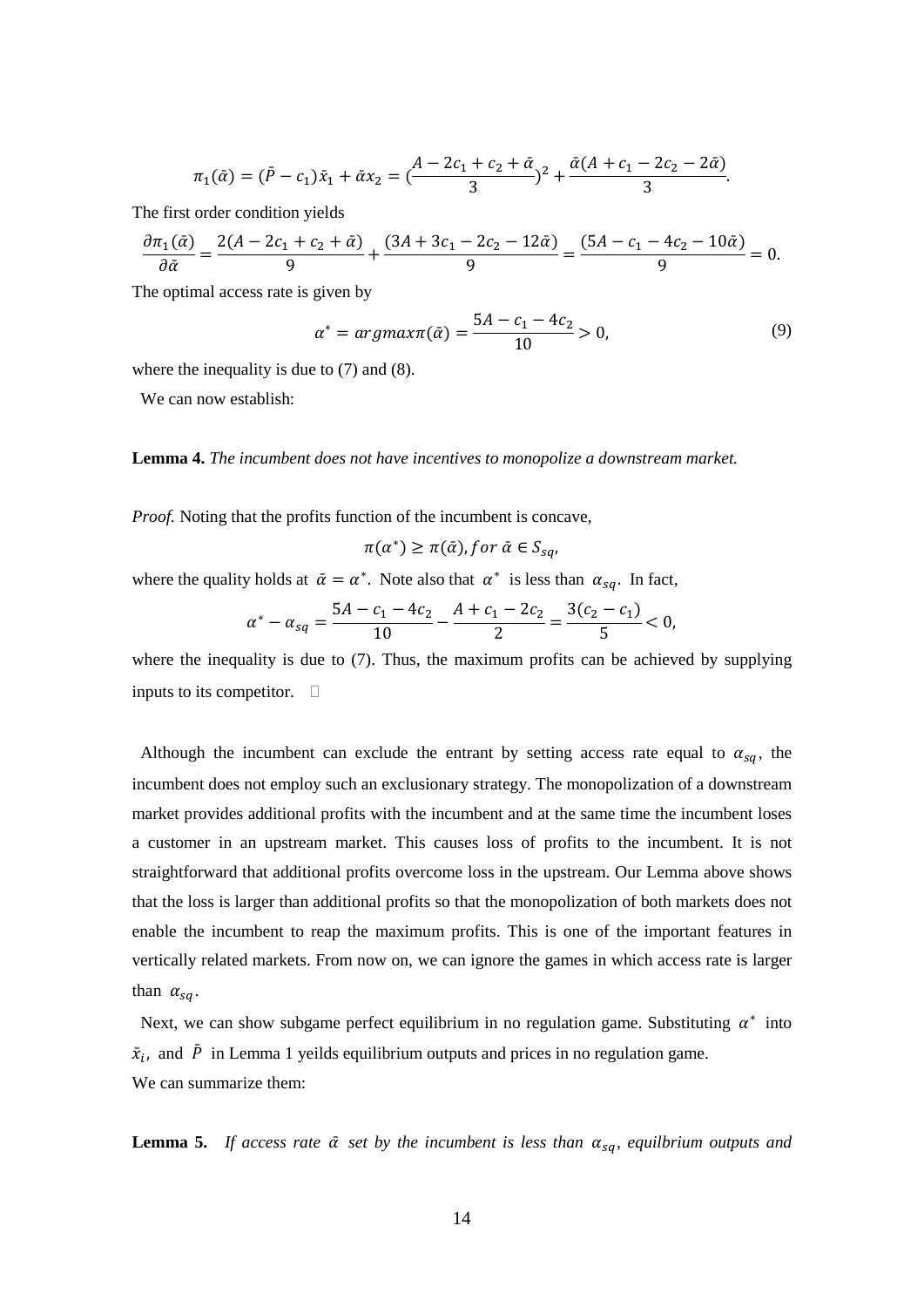$$
\pi_1(\bar{\alpha}) = (\bar{P} - c_1)\bar{x}_1 + \bar{\alpha}x_2 = \left(\frac{A - 2c_1 + c_2 + \bar{\alpha}}{3}\right)^2 + \frac{\bar{\alpha}(A + c_1 - 2c_2 - 2\bar{\alpha})}{3}.
$$

The first order condition yields

$$
\frac{\partial \pi_1(\bar{\alpha})}{\partial \bar{\alpha}} = \frac{2(A - 2c_1 + c_2 + \bar{\alpha})}{9} + \frac{(3A + 3c_1 - 2c_2 - 12\bar{\alpha})}{9} = \frac{(5A - c_1 - 4c_2 - 10\bar{\alpha})}{9} = 0.
$$

The optimal access rate is given by

$$
\alpha^* = \arg\max(\bar{\alpha}) = \frac{5A - c_1 - 4c_2}{10} > 0,\tag{9}
$$

where the inequality is due to  $(7)$  and  $(8)$ .

We can now establish:

#### **Lemma 4.** *The incumbent does not have incentives to monopolize a downstream market.*

*Proof.* Noting that the profits function of the incumbent is concave,

$$
\pi(\alpha^*) \geq \pi(\bar{\alpha}), \text{for } \bar{\alpha} \in S_{sq},
$$

where the quality holds at  $\bar{\alpha} = \alpha^*$ . Note also that  $\alpha^*$  is less than  $\alpha_{sa}$ . In fact,

$$
\alpha^* - \alpha_{sq} = \frac{5A - c_1 - 4c_2}{10} - \frac{A + c_1 - 2c_2}{2} = \frac{3(c_2 - c_1)}{5} < 0,
$$

where the inequality is due to (7). Thus, the maximum profits can be achieved by supplying inputs to its competitor.  $\Box$ 

Although the incumbent can exclude the entrant by setting access rate equal to  $\alpha_{sa}$ , the incumbent does not employ such an exclusionary strategy. The monopolization of a downstream market provides additional profits with the incumbent and at the same time the incumbent loses a customer in an upstream market. This causes loss of profits to the incumbent. It is not straightforward that additional profits overcome loss in the upstream. Our Lemma above shows that the loss is larger than additional profits so that the monopolization of both markets does not enable the incumbent to reap the maximum profits. This is one of the important features in vertically related markets. From now on, we can ignore the games in which access rate is larger than  $\alpha_{sa}$ .

Next, we can show subgame perfect equilibrium in no regulation game. Substituting  $\alpha^*$  into  $\bar{x}_i$ , and  $\bar{P}$  in Lemma 1 yeilds equilibrium outputs and prices in no regulation game. We can summarize them:

**Lemma 5.** If access rate  $\bar{\alpha}$  set by the incumbent is less than  $\alpha_{sa}$ , equilbrium outputs and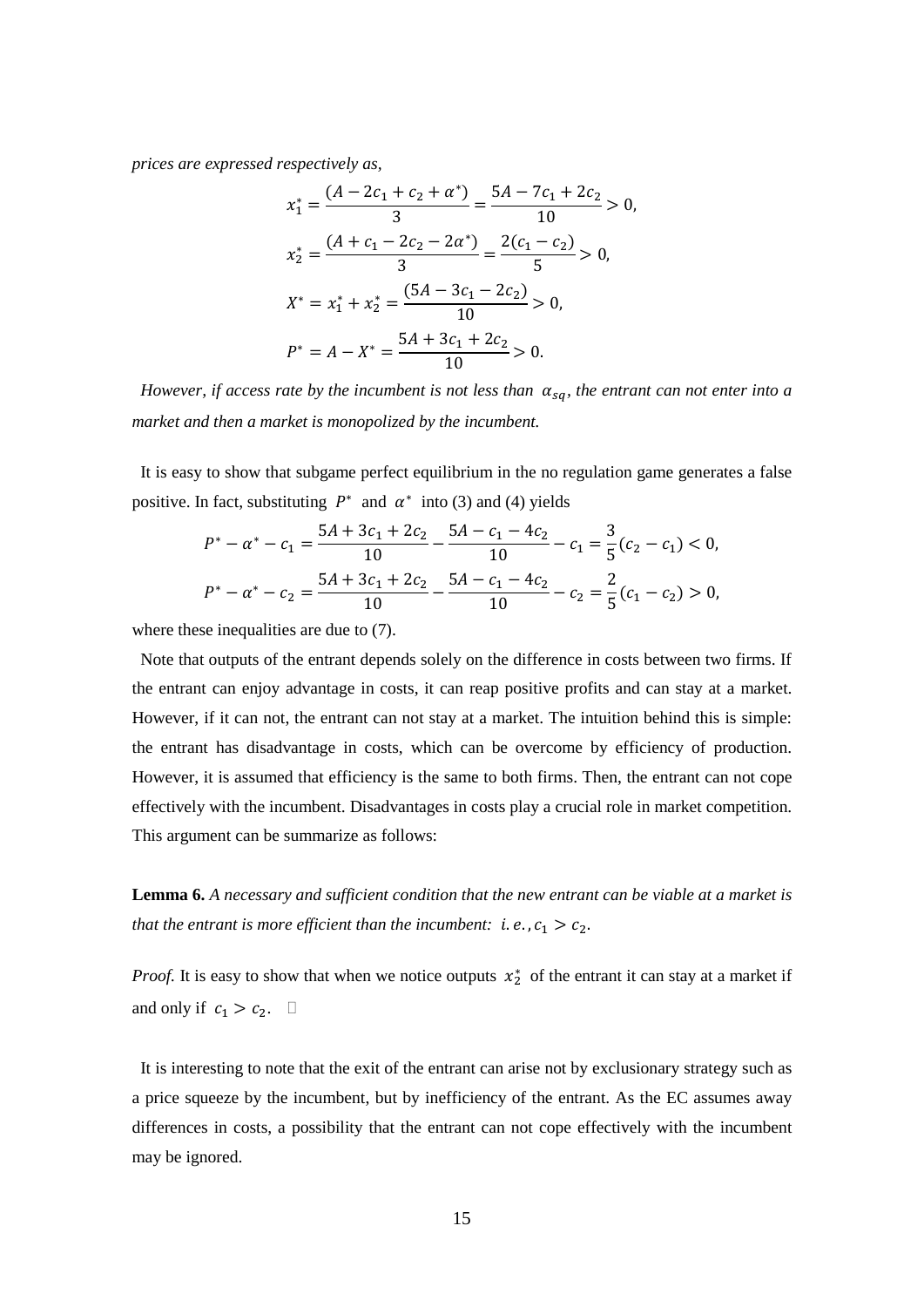*prices are expressed respectively as,* 

$$
x_1^* = \frac{(A - 2c_1 + c_2 + \alpha^*)}{3} = \frac{5A - 7c_1 + 2c_2}{10} > 0,
$$
  
\n
$$
x_2^* = \frac{(A + c_1 - 2c_2 - 2\alpha^*)}{3} = \frac{2(c_1 - c_2)}{5} > 0,
$$
  
\n
$$
X^* = x_1^* + x_2^* = \frac{(5A - 3c_1 - 2c_2)}{10} > 0,
$$
  
\n
$$
P^* = A - X^* = \frac{5A + 3c_1 + 2c_2}{10} > 0.
$$

*However, if access rate by the incumbent is not less than*  $\alpha_{sq}$ *, the entrant can not enter into a market and then a market is monopolized by the incumbent.* 

It is easy to show that subgame perfect equilibrium in the no regulation game generates a false positive. In fact, substituting  $P^*$  and  $\alpha^*$  into (3) and (4) yields

$$
P^* - \alpha^* - c_1 = \frac{5A + 3c_1 + 2c_2}{10} - \frac{5A - c_1 - 4c_2}{10} - c_1 = \frac{3}{5}(c_2 - c_1) < 0,
$$
\n
$$
P^* - \alpha^* - c_2 = \frac{5A + 3c_1 + 2c_2}{10} - \frac{5A - c_1 - 4c_2}{10} - c_2 = \frac{2}{5}(c_1 - c_2) > 0,
$$

where these inequalities are due to (7).

Note that outputs of the entrant depends solely on the difference in costs between two firms. If the entrant can enjoy advantage in costs, it can reap positive profits and can stay at a market. However, if it can not, the entrant can not stay at a market. The intuition behind this is simple: the entrant has disadvantage in costs, which can be overcome by efficiency of production. However, it is assumed that efficiency is the same to both firms. Then, the entrant can not cope effectively with the incumbent. Disadvantages in costs play a crucial role in market competition. This argument can be summarize as follows:

**Lemma 6.** *A necessary and sufficient condition that the new entrant can be viable at a market is that the entrant is more efficient than the incumbent: i.e.,* $c_1 > c_2$ .

*Proof.* It is easy to show that when we notice outputs  $x_2^*$  of the entrant it can stay at a market if and only if  $c_1 > c_2$ .  $\Box$ 

It is interesting to note that the exit of the entrant can arise not by exclusionary strategy such as a price squeeze by the incumbent, but by inefficiency of the entrant. As the EC assumes away differences in costs, a possibility that the entrant can not cope effectively with the incumbent may be ignored.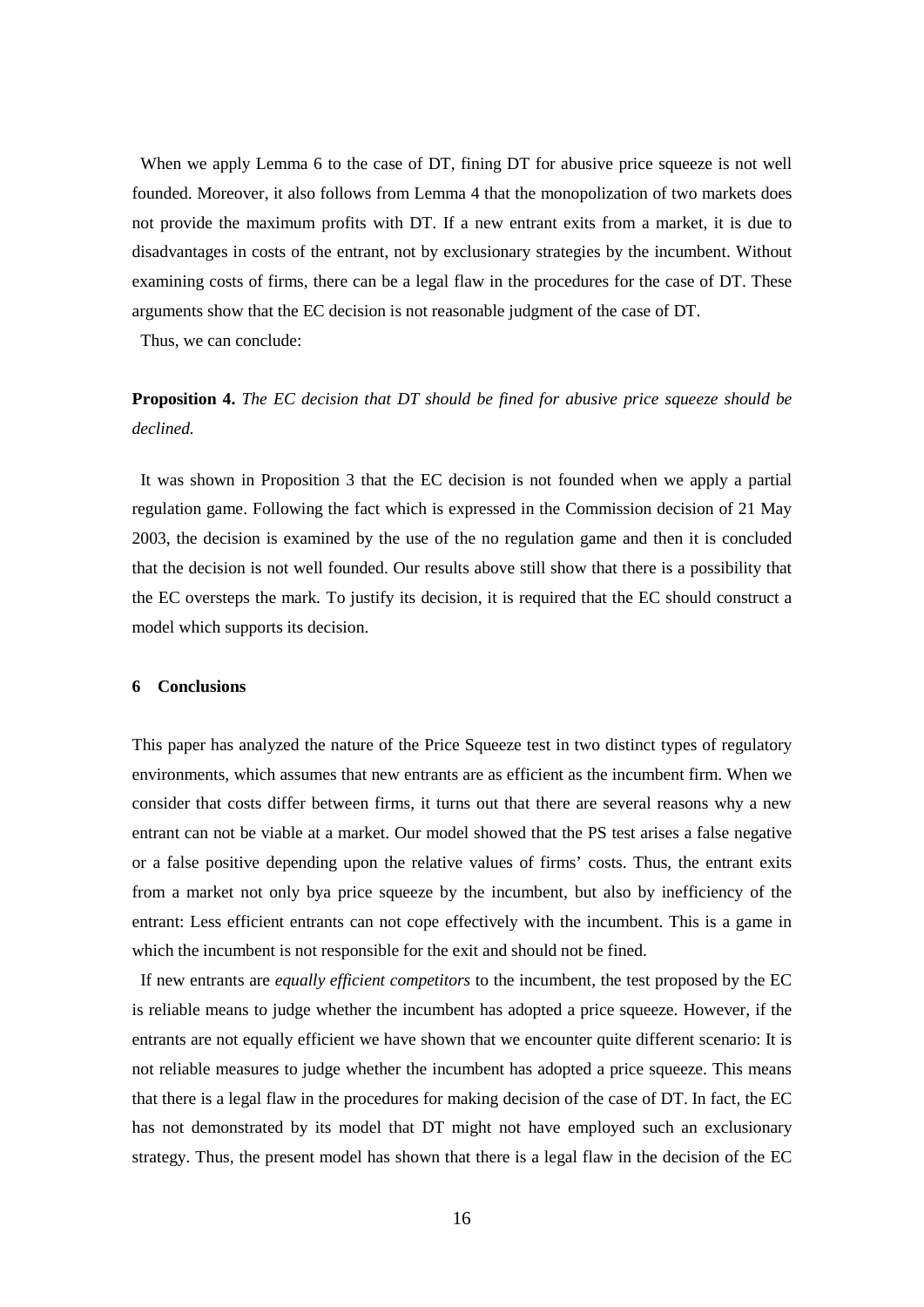When we apply Lemma 6 to the case of DT, fining DT for abusive price squeeze is not well founded. Moreover, it also follows from Lemma 4 that the monopolization of two markets does not provide the maximum profits with DT. If a new entrant exits from a market, it is due to disadvantages in costs of the entrant, not by exclusionary strategies by the incumbent. Without examining costs of firms, there can be a legal flaw in the procedures for the case of DT. These arguments show that the EC decision is not reasonable judgment of the case of DT.

Thus, we can conclude:

# **Proposition 4.** *The EC decision that DT should be fined for abusive price squeeze should be declined.*

It was shown in Proposition 3 that the EC decision is not founded when we apply a partial regulation game. Following the fact which is expressed in the Commission decision of 21 May 2003, the decision is examined by the use of the no regulation game and then it is concluded that the decision is not well founded. Our results above still show that there is a possibility that the EC oversteps the mark. To justify its decision, it is required that the EC should construct a model which supports its decision.

#### **6 Conclusions**

This paper has analyzed the nature of the Price Squeeze test in two distinct types of regulatory environments, which assumes that new entrants are as efficient as the incumbent firm. When we consider that costs differ between firms, it turns out that there are several reasons why a new entrant can not be viable at a market. Our model showed that the PS test arises a false negative or a false positive depending upon the relative values of firms' costs. Thus, the entrant exits from a market not only bya price squeeze by the incumbent, but also by inefficiency of the entrant: Less efficient entrants can not cope effectively with the incumbent. This is a game in which the incumbent is not responsible for the exit and should not be fined.

If new entrants are *equally efficient competitors* to the incumbent, the test proposed by the EC is reliable means to judge whether the incumbent has adopted a price squeeze. However, if the entrants are not equally efficient we have shown that we encounter quite different scenario: It is not reliable measures to judge whether the incumbent has adopted a price squeeze. This means that there is a legal flaw in the procedures for making decision of the case of DT. In fact, the EC has not demonstrated by its model that DT might not have employed such an exclusionary strategy. Thus, the present model has shown that there is a legal flaw in the decision of the EC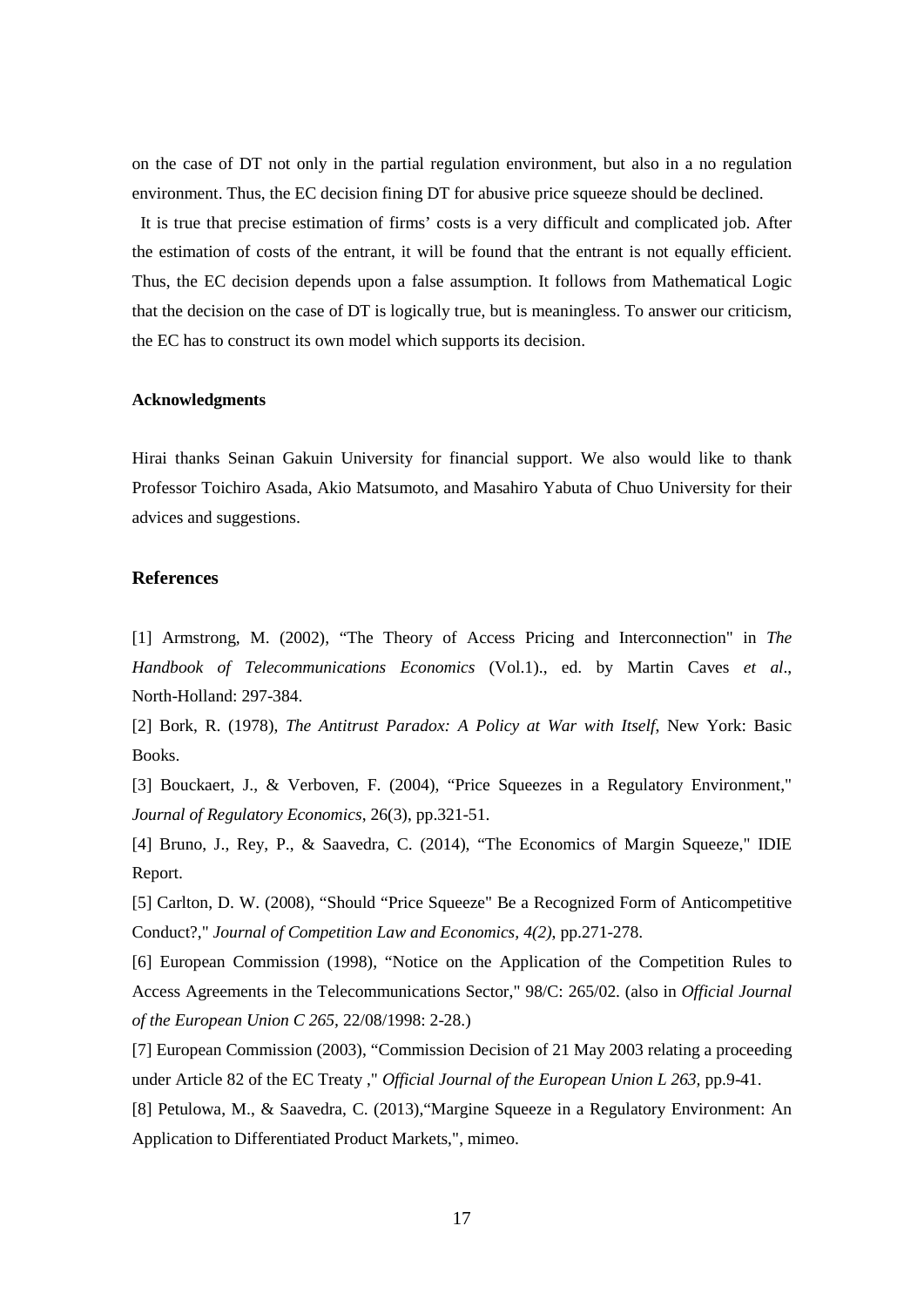on the case of DT not only in the partial regulation environment, but also in a no regulation environment. Thus, the EC decision fining DT for abusive price squeeze should be declined.

It is true that precise estimation of firms' costs is a very difficult and complicated job. After the estimation of costs of the entrant, it will be found that the entrant is not equally efficient. Thus, the EC decision depends upon a false assumption. It follows from Mathematical Logic that the decision on the case of DT is logically true, but is meaningless. To answer our criticism, the EC has to construct its own model which supports its decision.

#### **Acknowledgments**

Hirai thanks Seinan Gakuin University for financial support. We also would like to thank Professor Toichiro Asada, Akio Matsumoto, and Masahiro Yabuta of Chuo University for their advices and suggestions.

### **References**

[1] Armstrong, M. (2002), "The Theory of Access Pricing and Interconnection" in *The Handbook of Telecommunications Economics* (Vol.1)., ed. by Martin Caves *et al*., North-Holland: 297-384.

[2] Bork, R. (1978), *The Antitrust Paradox: A Policy at War with Itself*, New York: Basic Books.

[3] Bouckaert, J., & Verboven, F. (2004), "Price Squeezes in a Regulatory Environment," *Journal of Regulatory Economics*, 26(3), pp.321-51.

[4] Bruno, J., Rey, P., & Saavedra, C. (2014), "The Economics of Margin Squeeze," IDIE Report.

[5] Carlton, D. W. (2008), "Should "Price Squeeze" Be a Recognized Form of Anticompetitive Conduct?," *Journal of Competition Law and Economics, 4(2)*, pp.271-278.

[6] European Commission (1998), "Notice on the Application of the Competition Rules to Access Agreements in the Telecommunications Sector," 98/C: 265/02. (also in *Official Journal of the European Union C 265,* 22/08/1998: 2-28.)

[7] European Commission (2003), "Commission Decision of 21 May 2003 relating a proceeding under Article 82 of the EC Treaty ," *Official Journal of the European Union L 263,* pp.9-41.

[8] Petulowa, M., & Saavedra, C. (2013),"Margine Squeeze in a Regulatory Environment: An Application to Differentiated Product Markets,", mimeo.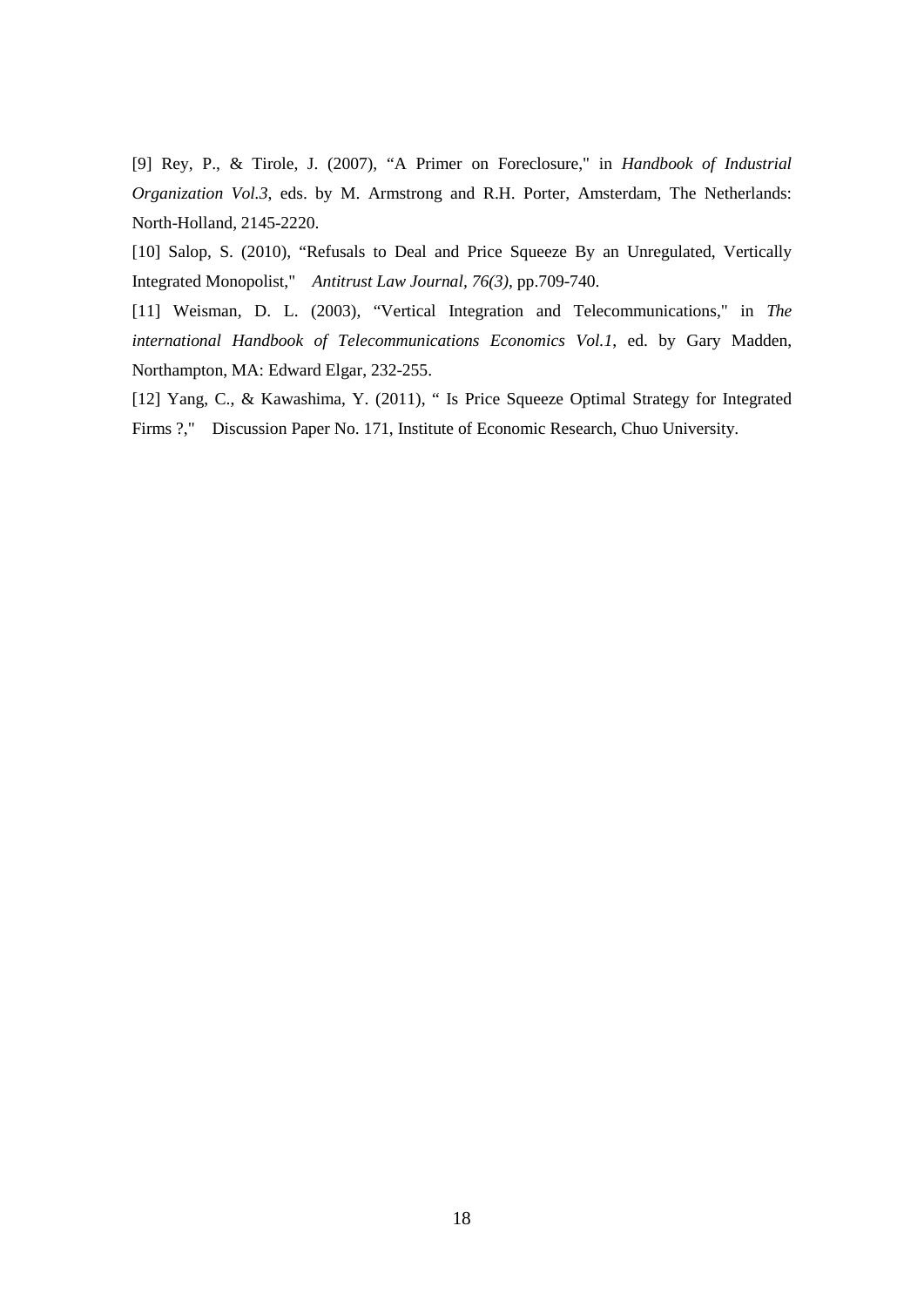[9] Rey, P., & Tirole, J. (2007), "A Primer on Foreclosure," in *Handbook of Industrial Organization Vol.3*, eds. by M. Armstrong and R.H. Porter, Amsterdam, The Netherlands: North-Holland, 2145-2220.

[10] Salop, S. (2010), "Refusals to Deal and Price Squeeze By an Unregulated, Vertically Integrated Monopolist," *Antitrust Law Journal, 76(3)*, pp.709-740.

[11] Weisman, D. L. (2003), "Vertical Integration and Telecommunications," in *The international Handbook of Telecommunications Economics Vol.1*, ed. by Gary Madden, Northampton, MA: Edward Elgar, 232-255.

[12] Yang, C., & Kawashima, Y. (2011), " Is Price Squeeze Optimal Strategy for Integrated Firms ?," Discussion Paper No. 171, Institute of Economic Research, Chuo University.